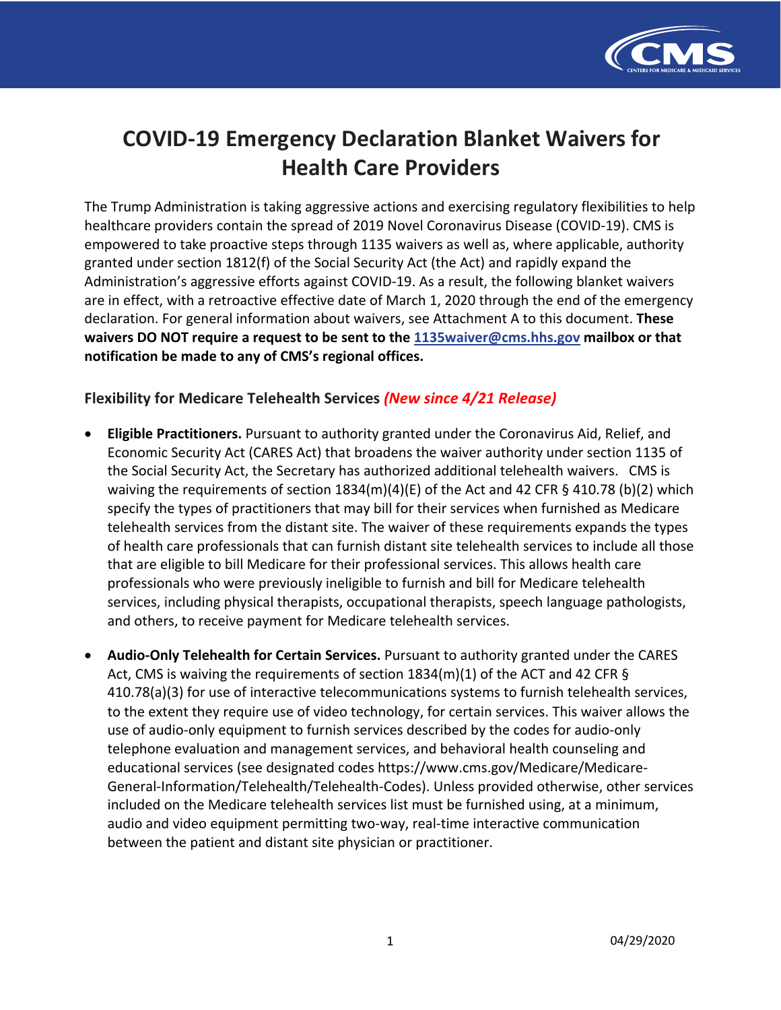

# **COVID-19 Emergency Declaration Blanket Waivers for Health Care Providers**

 The Trump Administration is taking aggressive actions and exercising regulatory flexibilities to help healthcare providers contain the spread of 2019 Novel Coronavirus Disease (COVID-19). CMS is empowered to take proactive steps through 1135 waivers as well as, where applicable, authority granted under section 1812(f) of the Social Security Act (the Act) and rapidly expand the Administration's aggressive efforts against COVID-19. As a result, the following blanket waivers are in effect, with a retroactive effective date of March 1, 2020 through the end of the emergency declaration. For general information about waivers, see Attachment A to this document. **These notification be made to any of CMS's regional offices. waivers DO NOT require a request to be sent to the [1135waiver@cms.hhs.gov](mailto:1135waiver@cms.hhs.gov) mailbox or that** 

## **Flexibility for Medicare Telehealth Services** *(New since 4/21 Release)*

- • **Eligible Practitioners.** Pursuant to authority granted under the Coronavirus Aid, Relief, and Economic Security Act (CARES Act) that broadens the waiver authority under section 1135 of the Social Security Act, the Secretary has authorized additional telehealth waivers. CMS is waiving the requirements of section 1834(m)(4)(E) of the Act and 42 CFR § 410.78 (b)(2) which specify the types of practitioners that may bill for their services when furnished as Medicare telehealth services from the distant site. The waiver of these requirements expands the types of health care professionals that can furnish distant site telehealth services to include all those that are eligible to bill Medicare for their professional services. This allows health care professionals who were previously ineligible to furnish and bill for Medicare telehealth services, including physical therapists, occupational therapists, speech language pathologists, and others, to receive payment for Medicare telehealth services.
- • **Audio-Only Telehealth for Certain Services.** Pursuant to authority granted under the CARES Act, CMS is waiving the requirements of section 1834(m)(1) of the ACT and 42 CFR § 410.78(a)(3) for use of interactive telecommunications systems to furnish telehealth services, to the extent they require use of video technology, for certain services. This waiver allows the use of audio-only equipment to furnish services described by the codes for audio-only telephone evaluation and management services, and behavioral health counseling and educational services (see designated codes<https://www.cms.gov/Medicare/Medicare>- General-Information/Telehealth/Telehealth-Codes). Unless provided otherwise, other services included on the Medicare telehealth services list must be furnished using, at a minimum, audio and video equipment permitting two-way, real-time interactive communication between the patient and distant site physician or practitioner.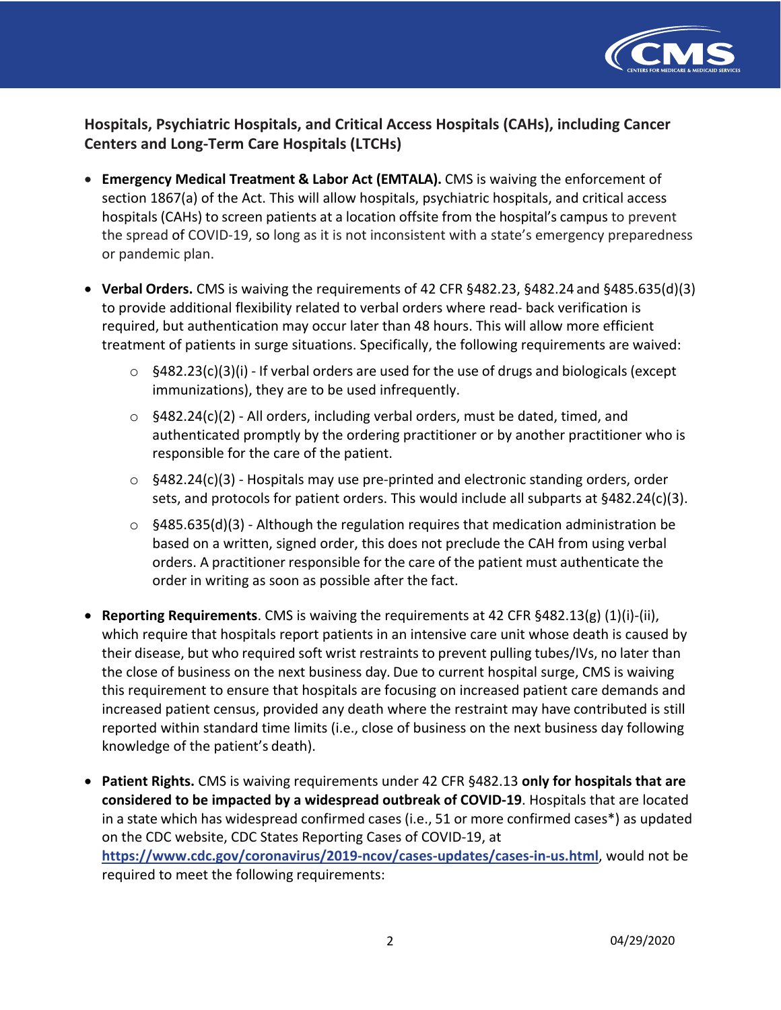

 **Hospitals, Psychiatric Hospitals, and Critical Access Hospitals (CAHs), including Cancer Centers and Long-Term Care Hospitals (LTCHs)** 

- **Emergency Medical Treatment & Labor Act (EMTALA).** CMS is waiving the enforcement of section 1867(a) of the Act. This will allow hospitals, psychiatric hospitals, and critical access hospitals (CAHs) to screen patients at a location offsite from the hospital's campus to prevent the spread of COVID-19, so long as it is not inconsistent with a state's emergency preparedness or pandemic plan.
- • **Verbal Orders.** CMS is waiving the requirements of 42 CFR §482.23, §482.24 and §485.635(d)(3) to provide additional flexibility related to verbal orders where read- back verification is required, but authentication may occur later than 48 hours. This will allow more efficient treatment of patients in surge situations. Specifically, the following requirements are waived:
	- $\circ$  §482.23(c)(3)(i) If verbal orders are used for the use of drugs and biologicals (except immunizations), they are to be used infrequently.
	- $\circ$  §482.24(c)(2) All orders, including verbal orders, must be dated, timed, and authenticated promptly by the ordering practitioner or by another practitioner who is responsible for the care of the patient.
	- $\circ$  §482.24(c)(3) Hospitals may use pre-printed and electronic standing orders, order sets, and protocols for patient orders. This would include all subparts at §482.24(c)(3).
	- $\circ$  §485.635(d)(3) Although the regulation requires that medication administration be based on a written, signed order, this does not preclude the CAH from using verbal orders. A practitioner responsible for the care of the patient must authenticate the order in writing as soon as possible after the fact.
- • **Reporting Requirements**. CMS is waiving the requirements at 42 CFR §482.13(g) (1)(i)-(ii), which require that hospitals report patients in an intensive care unit whose death is caused by their disease, but who required soft wrist restraints to prevent pulling tubes/IVs, no later than the close of business on the next business day. Due to current hospital surge, CMS is waiving this requirement to ensure that hospitals are focusing on increased patient care demands and increased patient census, provided any death where the restraint may have contributed is still reported within standard time limits (i.e., close of business on the next business day following knowledge of the patient's death).
- **Patient Rights.** CMS is waiving requirements under 42 CFR §482.13 **only for hospitals that are considered to be impacted by a widespread outbreak of COVID-19**. Hospitals that are located in a state which has widespread confirmed cases (i.e., 51 or more confirmed cases\*) as updated on the CDC website, CDC States Reporting Cases of COVID-19, at **<https://www.cdc.gov/coronavirus/2019-ncov/cases-updates/cases-in-us.html>**, would not be required to meet the following requirements: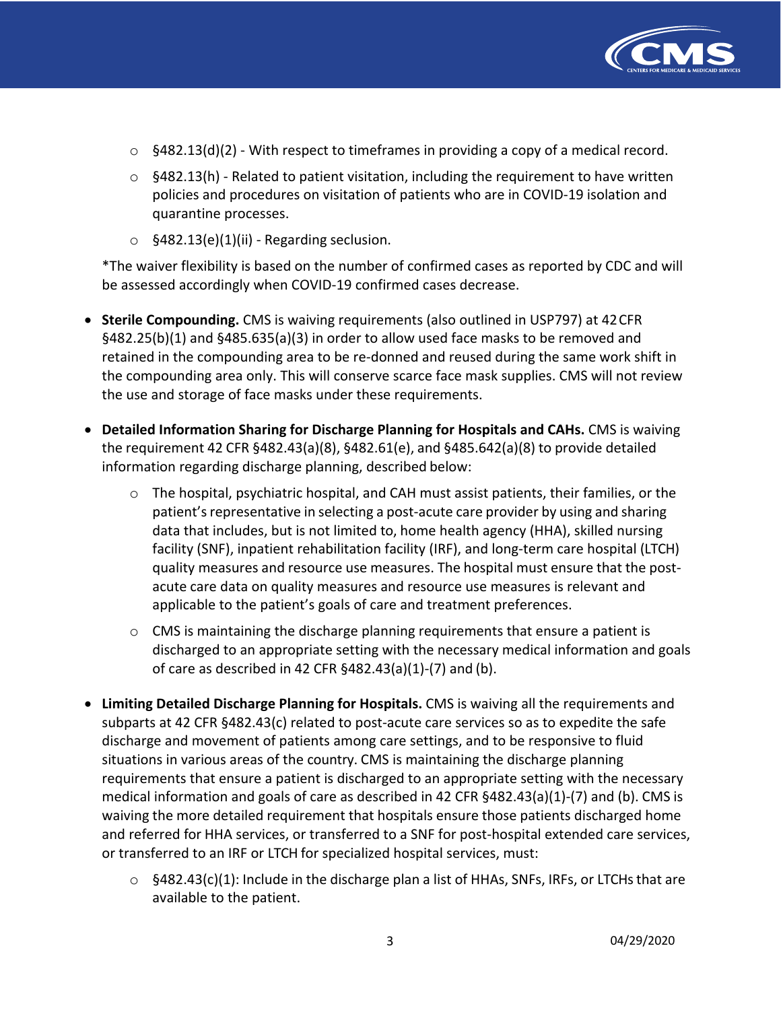

- $\circ$  §482.13(d)(2) With respect to timeframes in providing a copy of a medical record.
- $\circ$  §482.13(h) Related to patient visitation, including the requirement to have written policies and procedures on visitation of patients who are in COVID-19 isolation and quarantine processes.
- $\circ$  §482.13(e)(1)(ii) Regarding seclusion.

 \*The waiver flexibility is based on the number of confirmed cases as reported by CDC and will be assessed accordingly when COVID-19 confirmed cases decrease.

- • **Sterile Compounding.** CMS is waiving requirements (also outlined in USP797) at 42CFR §482.25(b)(1) and §485.635(a)(3) in order to allow used face masks to be removed and retained in the compounding area to be re-donned and reused during the same work shift in the compounding area only. This will conserve scarce face mask supplies. CMS will not review the use and storage of face masks under these requirements.
- **Detailed Information Sharing for Discharge Planning for Hospitals and CAHs.** CMS is waiving the requirement 42 CFR §482.43(a)(8), §482.61(e), and §485.642(a)(8) to provide detailed information regarding discharge planning, described below:
	- o The hospital, psychiatric hospital, and CAH must assist patients, their families, or the patient's representative in selecting a post-acute care provider by using and sharing data that includes, but is not limited to, home health agency (HHA), skilled nursing facility (SNF), inpatient rehabilitation facility (IRF), and long-term care hospital (LTCH) quality measures and resource use measures. The hospital must ensure that the post- acute care data on quality measures and resource use measures is relevant and applicable to the patient's goals of care and treatment preferences.
	- $\circ$  CMS is maintaining the discharge planning requirements that ensure a patient is discharged to an appropriate setting with the necessary medical information and goals of care as described in 42 CFR §482.43(a)(1)-(7) and (b).
- • **Limiting Detailed Discharge Planning for Hospitals.** CMS is waiving all the requirements and subparts at 42 CFR §482.43(c) related to post-acute care services so as to expedite the safe discharge and movement of patients among care settings, and to be responsive to fluid situations in various areas of the country. CMS is maintaining the discharge planning requirements that ensure a patient is discharged to an appropriate setting with the necessary medical information and goals of care as described in 42 CFR §482.43(a)(1)-(7) and (b). CMS is waiving the more detailed requirement that hospitals ensure those patients discharged home and referred for HHA services, or transferred to a SNF for post-hospital extended care services, or transferred to an IRF or LTCH for specialized hospital services, must:
	- $\circ$  §482.43(c)(1): Include in the discharge plan a list of HHAs, SNFs, IRFs, or LTCHs that are available to the patient.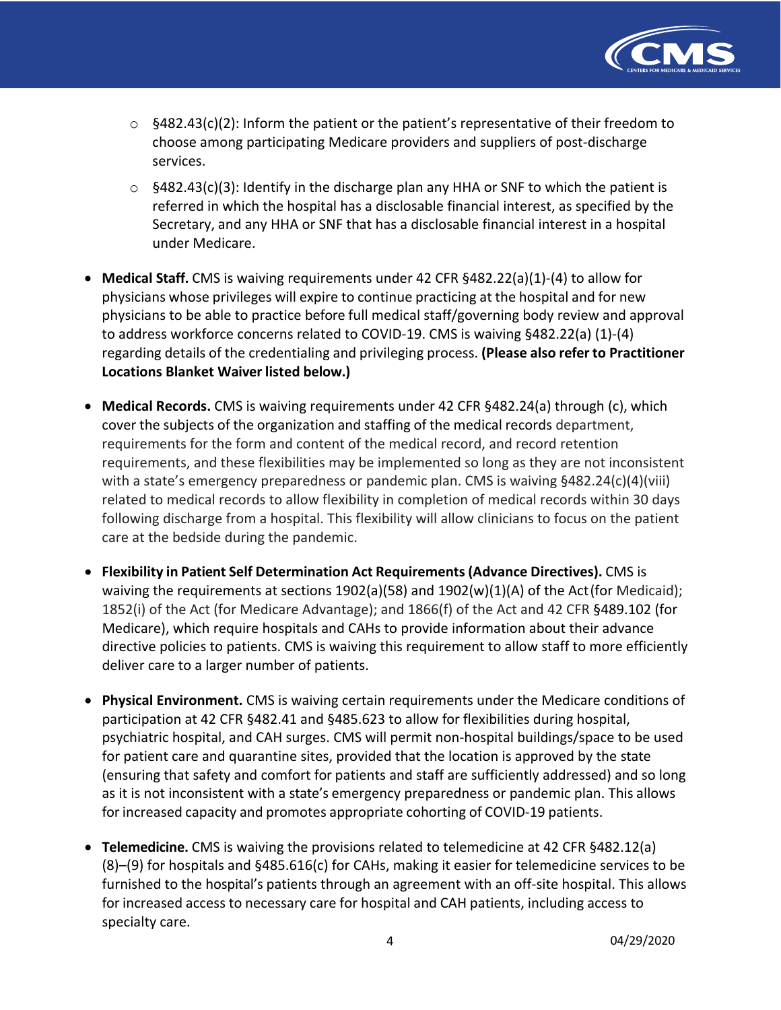

- $\circ$  §482.43(c)(2): Inform the patient or the patient's representative of their freedom to choose among participating Medicare providers and suppliers of post-discharge services.
- $\circ$  §482.43(c)(3): Identify in the discharge plan any HHA or SNF to which the patient is referred in which the hospital has a disclosable financial interest, as specified by the Secretary, and any HHA or SNF that has a disclosable financial interest in a hospital under Medicare.
- • **Medical Staff.** CMS is waiving requirements under 42 CFR §482.22(a)(1)-(4) to allow for physicians whose privileges will expire to continue practicing at the hospital and for new physicians to be able to practice before full medical staff/governing body review and approval to address workforce concerns related to COVID-19. CMS is waiving §482.22(a) (1)-(4) regarding details of the credentialing and privileging process. **(Please also refer to Practitioner Locations Blanket Waiver listed below.)**
- **Medical Records.** CMS is waiving requirements under 42 CFR §482.24(a) through (c), which cover the subjects of the organization and staffing of the medical records department, requirements for the form and content of the medical record, and record retention requirements, and these flexibilities may be implemented so long as they are not inconsistent with a state's emergency preparedness or pandemic plan. CMS is waiving §482.24(c)(4)(viii) related to medical records to allow flexibility in completion of medical records within 30 days following discharge from a hospital. This flexibility will allow clinicians to focus on the patient care at the bedside during the pandemic.
- **Flexibility in Patient Self Determination Act Requirements (Advance Directives).** CMS is waiving the requirements at sections 1902(a)(58) and 1902(w)(1)(A) of the Act(for Medicaid); 1852(i) of the Act (for Medicare Advantage); and 1866(f) of the Act and 42 CFR §489.102 (for Medicare), which require hospitals and CAHs to provide information about their advance directive policies to patients. CMS is waiving this requirement to allow staff to more efficiently deliver care to a larger number of patients.
- • **Physical Environment.** CMS is waiving certain requirements under the Medicare conditions of participation at 42 CFR §482.41 and §485.623 to allow for flexibilities during hospital, psychiatric hospital, and CAH surges. CMS will permit non-hospital buildings/space to be used for patient care and quarantine sites, provided that the location is approved by the state (ensuring that safety and comfort for patients and staff are sufficiently addressed) and so long as it is not inconsistent with a state's emergency preparedness or pandemic plan. This allows for increased capacity and promotes appropriate cohorting of COVID-19 patients.
- • **Telemedicine.** CMS is waiving the provisions related to telemedicine at 42 CFR §482.12(a) (8)–(9) for hospitals and §485.616(c) for CAHs, making it easier for telemedicine services to be furnished to the hospital's patients through an agreement with an off-site hospital. This allows for increased access to necessary care for hospital and CAH patients, including access to specialty care.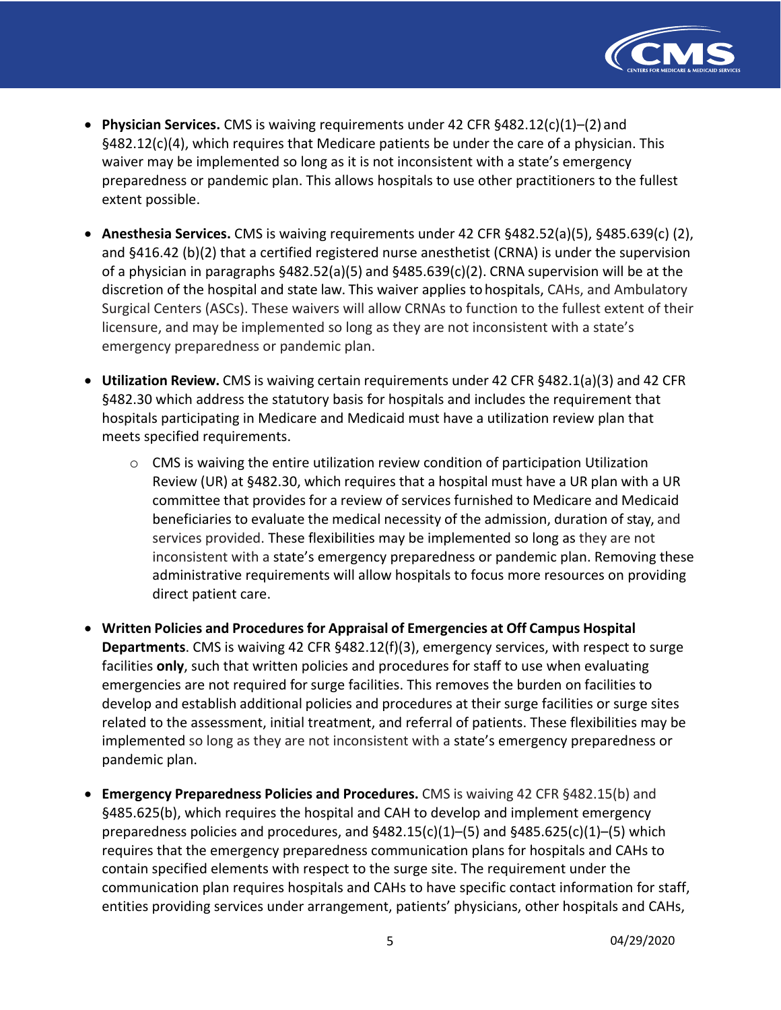

- • **Physician Services.** CMS is waiving requirements under 42 CFR §482.12(c)(1)–(2) and §482.12(c)(4), which requires that Medicare patients be under the care of a physician. This waiver may be implemented so long as it is not inconsistent with a state's emergency preparedness or pandemic plan. This allows hospitals to use other practitioners to the fullest extent possible.
- • **Anesthesia Services.** CMS is waiving requirements under 42 CFR §482.52(a)(5), §485.639(c) (2), and §416.42 (b)(2) that a certified registered nurse anesthetist (CRNA) is under the supervision of a physician in paragraphs §482.52(a)(5) and §485.639(c)(2). CRNA supervision will be at the discretion of the hospital and state law. This waiver applies to hospitals, CAHs, and Ambulatory Surgical Centers (ASCs). These waivers will allow CRNAs to function to the fullest extent of their licensure, and may be implemented so long as they are not inconsistent with a state's emergency preparedness or pandemic plan.
- • **Utilization Review.** CMS is waiving certain requirements under 42 CFR §482.1(a)(3) and 42 CFR §482.30 which address the statutory basis for hospitals and includes the requirement that hospitals participating in Medicare and Medicaid must have a utilization review plan that meets specified requirements.
	- $\circ$  CMS is waiving the entire utilization review condition of participation Utilization Review (UR) at §482.30, which requires that a hospital must have a UR plan with a UR committee that provides for a review of services furnished to Medicare and Medicaid beneficiaries to evaluate the medical necessity of the admission, duration of stay, and services provided. These flexibilities may be implemented so long as they are not inconsistent with a state's emergency preparedness or pandemic plan. Removing these administrative requirements will allow hospitals to focus more resources on providing direct patient care.
- **Written Policies and Procedures for Appraisal of Emergencies at Off Campus Hospital Departments**. CMS is waiving 42 CFR §482.12(f)(3), emergency services, with respect to surge facilities **only**, such that written policies and procedures for staff to use when evaluating emergencies are not required for surge facilities. This removes the burden on facilities to develop and establish additional policies and procedures at their surge facilities or surge sites related to the assessment, initial treatment, and referral of patients. These flexibilities may be implemented so long as they are not inconsistent with a state's emergency preparedness or pandemic plan.
- **Emergency Preparedness Policies and Procedures.** CMS is waiving 42 CFR §482.15(b) and §485.625(b), which requires the hospital and CAH to develop and implement emergency preparedness policies and procedures, and §482.15(c)(1)–(5) and §485.625(c)(1)–(5) which requires that the emergency preparedness communication plans for hospitals and CAHs to contain specified elements with respect to the surge site. The requirement under the communication plan requires hospitals and CAHs to have specific contact information for staff, entities providing services under arrangement, patients' physicians, other hospitals and CAHs,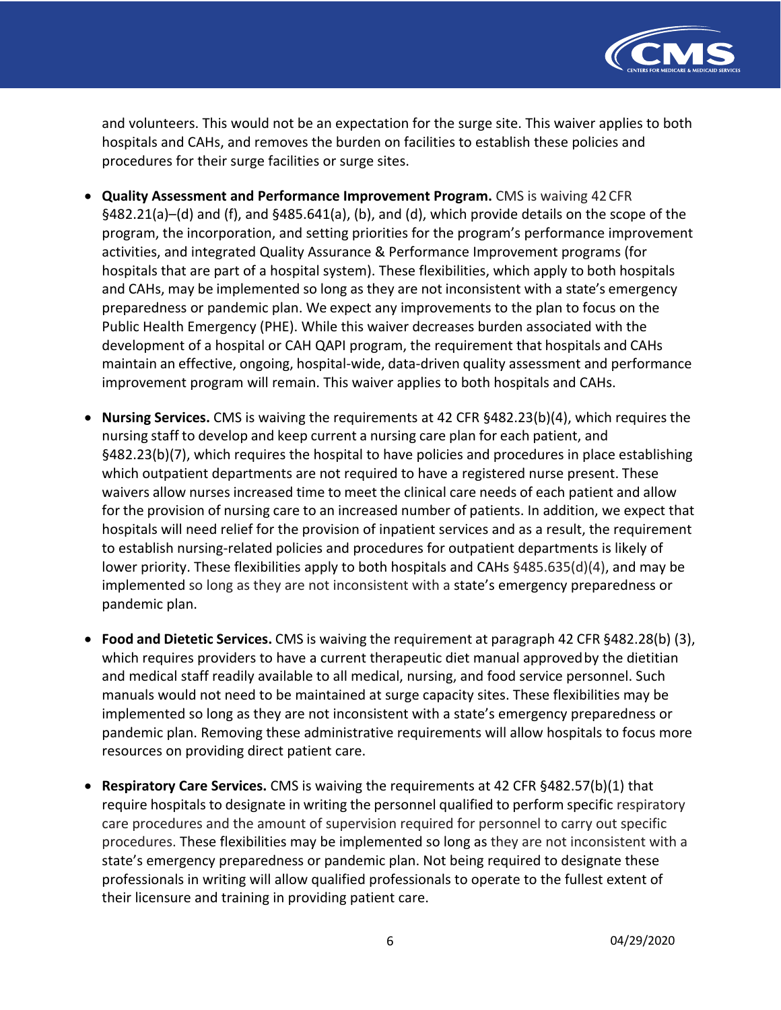

 and volunteers. This would not be an expectation for the surge site. This waiver applies to both hospitals and CAHs, and removes the burden on facilities to establish these policies and procedures for their surge facilities or surge sites.

- **Quality Assessment and Performance Improvement Program.** CMS is waiving 42CFR §482.21(a)–(d) and (f), and §485.641(a), (b), and (d), which provide details on the scope of the program, the incorporation, and setting priorities for the program's performance improvement activities, and integrated Quality Assurance & Performance Improvement programs (for hospitals that are part of a hospital system). These flexibilities, which apply to both hospitals and CAHs, may be implemented so long as they are not inconsistent with a state's emergency preparedness or pandemic plan. We expect any improvements to the plan to focus on the Public Health Emergency (PHE). While this waiver decreases burden associated with the development of a hospital or CAH QAPI program, the requirement that hospitals and CAHs maintain an effective, ongoing, hospital-wide, data-driven quality assessment and performance improvement program will remain. This waiver applies to both hospitals and CAHs.
- • **Nursing Services.** CMS is waiving the requirements at 42 CFR §482.23(b)(4), which requires the nursing staff to develop and keep current a nursing care plan for each patient, and §482.23(b)(7), which requires the hospital to have policies and procedures in place establishing which outpatient departments are not required to have a registered nurse present. These waivers allow nurses increased time to meet the clinical care needs of each patient and allow for the provision of nursing care to an increased number of patients. In addition, we expect that hospitals will need relief for the provision of inpatient services and as a result, the requirement to establish nursing-related policies and procedures for outpatient departments is likely of lower priority. These flexibilities apply to both hospitals and CAHs §485.635(d)(4), and may be implemented so long as they are not inconsistent with a state's emergency preparedness or pandemic plan.
- **Food and Dietetic Services.** CMS is waiving the requirement at paragraph 42 CFR §482.28(b) (3), which requires providers to have a current therapeutic diet manual approvedby the dietitian and medical staff readily available to all medical, nursing, and food service personnel. Such manuals would not need to be maintained at surge capacity sites. These flexibilities may be implemented so long as they are not inconsistent with a state's emergency preparedness or pandemic plan. Removing these administrative requirements will allow hospitals to focus more resources on providing direct patient care.
- **Respiratory Care Services.** CMS is waiving the requirements at 42 CFR §482.57(b)(1) that require hospitals to designate in writing the personnel qualified to perform specific respiratory care procedures and the amount of supervision required for personnel to carry out specific procedures. These flexibilities may be implemented so long as they are not inconsistent with a state's emergency preparedness or pandemic plan. Not being required to designate these professionals in writing will allow qualified professionals to operate to the fullest extent of their licensure and training in providing patient care.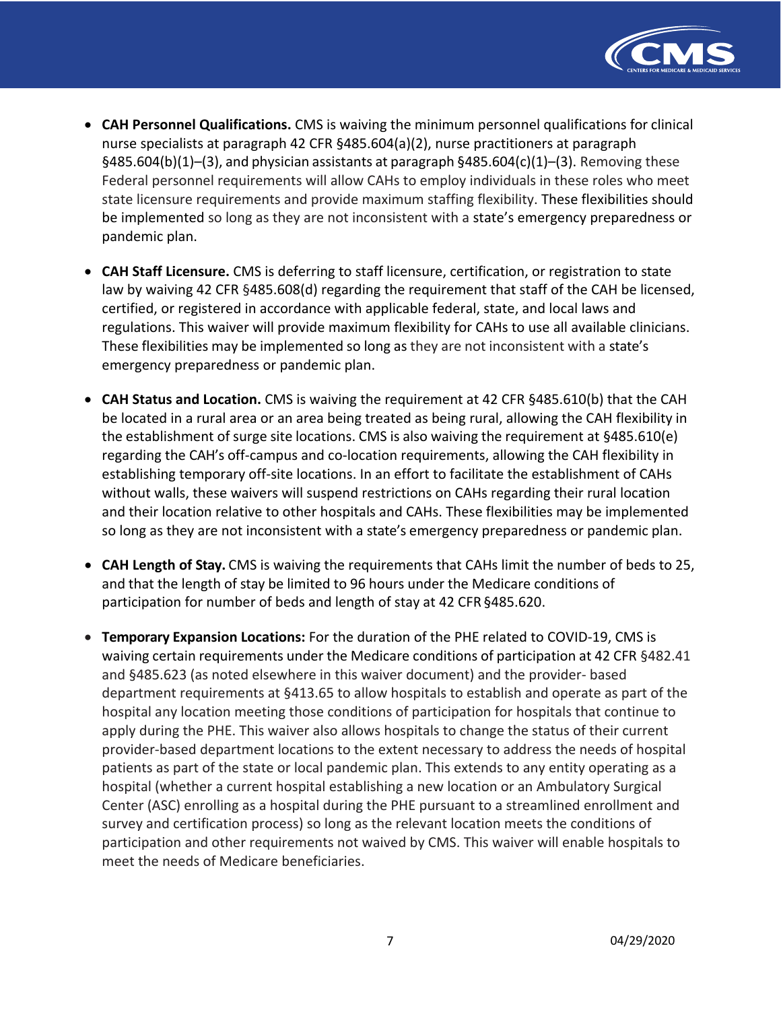

- **CAH Personnel Qualifications.** CMS is waiving the minimum personnel qualifications for clinical nurse specialists at paragraph 42 CFR §485.604(a)(2), nurse practitioners at paragraph §485.604(b)(1)–(3), and physician assistants at paragraph §485.604(c)(1)–(3). Removing these Federal personnel requirements will allow CAHs to employ individuals in these roles who meet state licensure requirements and provide maximum staffing flexibility. These flexibilities should be implemented so long as they are not inconsistent with a state's emergency preparedness or pandemic plan.
- **CAH Staff Licensure.** CMS is deferring to staff licensure, certification, or registration to state law by waiving 42 CFR §485.608(d) regarding the requirement that staff of the CAH be licensed, certified, or registered in accordance with applicable federal, state, and local laws and regulations. This waiver will provide maximum flexibility for CAHs to use all available clinicians. These flexibilities may be implemented so long as they are not inconsistent with a state's emergency preparedness or pandemic plan.
- **CAH Status and Location.** CMS is waiving the requirement at 42 CFR §485.610(b) that the CAH be located in a rural area or an area being treated as being rural, allowing the CAH flexibility in the establishment of surge site locations. CMS is also waiving the requirement at §485.610(e) regarding the CAH's off-campus and co-location requirements, allowing the CAH flexibility in establishing temporary off-site locations. In an effort to facilitate the establishment of CAHs without walls, these waivers will suspend restrictions on CAHs regarding their rural location and their location relative to other hospitals and CAHs. These flexibilities may be implemented so long as they are not inconsistent with a state's emergency preparedness or pandemic plan.
- **CAH Length of Stay.** CMS is waiving the requirements that CAHs limit the number of beds to 25, and that the length of stay be limited to 96 hours under the Medicare conditions of participation for number of beds and length of stay at 42 CFR §485.620.
- • **Temporary Expansion Locations:** For the duration of the PHE related to COVID-19, CMS is waiving certain requirements under the Medicare conditions of participation at 42 CFR §482.41 and §485.623 (as noted elsewhere in this waiver document) and the provider- based department requirements at §413.65 to allow hospitals to establish and operate as part of the hospital any location meeting those conditions of participation for hospitals that continue to apply during the PHE. This waiver also allows hospitals to change the status of their current provider-based department locations to the extent necessary to address the needs of hospital patients as part of the state or local pandemic plan. This extends to any entity operating as a hospital (whether a current hospital establishing a new location or an Ambulatory Surgical Center (ASC) enrolling as a hospital during the PHE pursuant to a streamlined enrollment and survey and certification process) so long as the relevant location meets the conditions of participation and other requirements not waived by CMS. This waiver will enable hospitals to meet the needs of Medicare beneficiaries.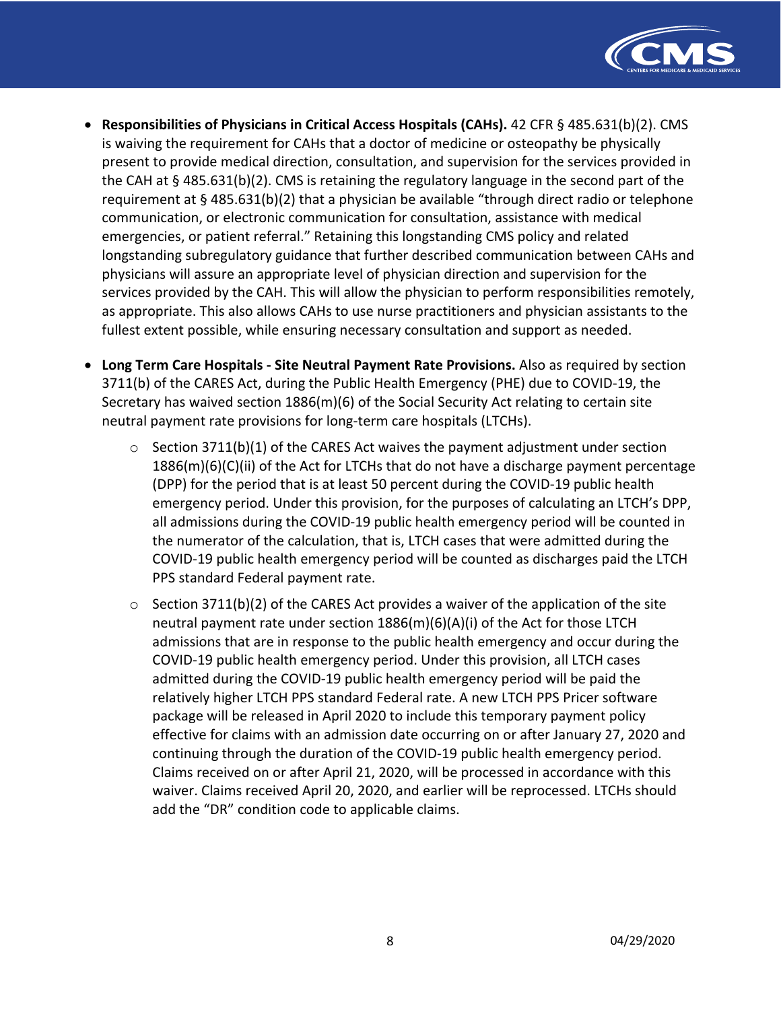

- **Responsibilities of Physicians in Critical Access Hospitals (CAHs).** 42 CFR § 485.631(b)(2). CMS is waiving the requirement for CAHs that a doctor of medicine or osteopathy be physically present to provide medical direction, consultation, and supervision for the services provided in the CAH at § 485.631(b)(2). CMS is retaining the regulatory language in the second part of the requirement at § 485.631(b)(2) that a physician be available "through direct radio or telephone communication, or electronic communication for consultation, assistance with medical emergencies, or patient referral." Retaining this longstanding CMS policy and related longstanding subregulatory guidance that further described communication between CAHs and physicians will assure an appropriate level of physician direction and supervision for the services provided by the CAH. This will allow the physician to perform responsibilities remotely, as appropriate. This also allows CAHs to use nurse practitioners and physician assistants to the fullest extent possible, while ensuring necessary consultation and support as needed.
- **Long Term Care Hospitals Site Neutral Payment Rate Provisions.** Also as required by section 3711(b) of the CARES Act, during the Public Health Emergency (PHE) due to COVID-19, the Secretary has waived section 1886(m)(6) of the Social Security Act relating to certain site neutral payment rate provisions for long-term care hospitals (LTCHs).
	- $\circ$  Section 3711(b)(1) of the CARES Act waives the payment adjustment under section 1886(m)(6)(C)(ii) of the Act for LTCHs that do not have a discharge payment percentage (DPP) for the period that is at least 50 percent during the COVID-19 public health emergency period. Under this provision, for the purposes of calculating an LTCH's DPP, all admissions during the COVID-19 public health emergency period will be counted in the numerator of the calculation, that is, LTCH cases that were admitted during the COVID-19 public health emergency period will be counted as discharges paid the LTCH PPS standard Federal payment rate.
	- $\circ$  Section 3711(b)(2) of the CARES Act provides a waiver of the application of the site neutral payment rate under section 1886(m)(6)(A)(i) of the Act for those LTCH admissions that are in response to the public health emergency and occur during the COVID-19 public health emergency period. Under this provision, all LTCH cases admitted during the COVID-19 public health emergency period will be paid the relatively higher LTCH PPS standard Federal rate. A new LTCH PPS Pricer software package will be released in April 2020 to include this temporary payment policy effective for claims with an admission date occurring on or after January 27, 2020 and continuing through the duration of the COVID-19 public health emergency period. Claims received on or after April 21, 2020, will be processed in accordance with this waiver. Claims received April 20, 2020, and earlier will be reprocessed. LTCHs should add the "DR" condition code to applicable claims.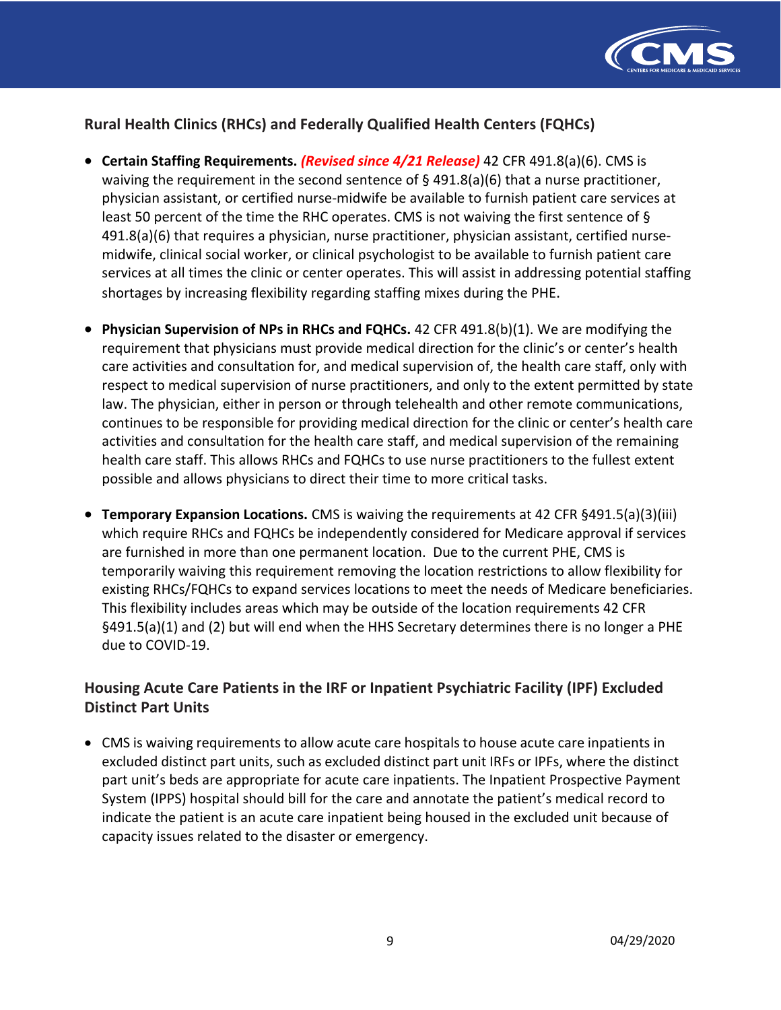

# **Rural Health Clinics (RHCs) and Federally Qualified Health Centers (FQHCs)**

- **Certain Staffing Requirements.** *(Revised since 4/21 Release)* **42 CFR 491.8(a)(6). CMS is** waiving the requirement in the second sentence of § 491.8(a)(6) that a nurse practitioner, physician assistant, or certified nurse-midwife be available to furnish patient care services at least 50 percent of the time the RHC operates. CMS is not waiving the first sentence of § 491.8(a)(6) that requires a physician, nurse practitioner, physician assistant, certified nurse- midwife, clinical social worker, or clinical psychologist to be available to furnish patient care services at all times the clinic or center operates. This will assist in addressing potential staffing shortages by increasing flexibility regarding staffing mixes during the PHE.
- **Physician Supervision of NPs in RHCs and FQHCs.** 42 CFR 491.8(b)(1). We are modifying the requirement that physicians must provide medical direction for the clinic's or center's health care activities and consultation for, and medical supervision of, the health care staff, only with respect to medical supervision of nurse practitioners, and only to the extent permitted by state law. The physician, either in person or through telehealth and other remote communications, continues to be responsible for providing medical direction for the clinic or center's health care activities and consultation for the health care staff, and medical supervision of the remaining health care staff. This allows RHCs and FQHCs to use nurse practitioners to the fullest extent possible and allows physicians to direct their time to more critical tasks.
- • **Temporary Expansion Locations.** CMS is waiving the requirements at 42 CFR §491.5(a)(3)(iii) which require RHCs and FQHCs be independently considered for Medicare approval if services are furnished in more than one permanent location. Due to the current PHE, CMS is temporarily waiving this requirement removing the location restrictions to allow flexibility for existing RHCs/FQHCs to expand services locations to meet the needs of Medicare beneficiaries. This flexibility includes areas which may be outside of the location requirements 42 CFR §491.5(a)(1) and (2) but will end when the HHS Secretary determines there is no longer a PHE due to COVID-19.

# **Housing Acute Care Patients in the IRF or Inpatient Psychiatric Facility (IPF) Excluded Distinct Part Units**

 • CMS is waiving requirements to allow acute care hospitals to house acute care inpatients in excluded distinct part units, such as excluded distinct part unit IRFs or IPFs, where the distinct part unit's beds are appropriate for acute care inpatients. The Inpatient Prospective Payment System (IPPS) hospital should bill for the care and annotate the patient's medical record to indicate the patient is an acute care inpatient being housed in the excluded unit because of capacity issues related to the disaster or emergency.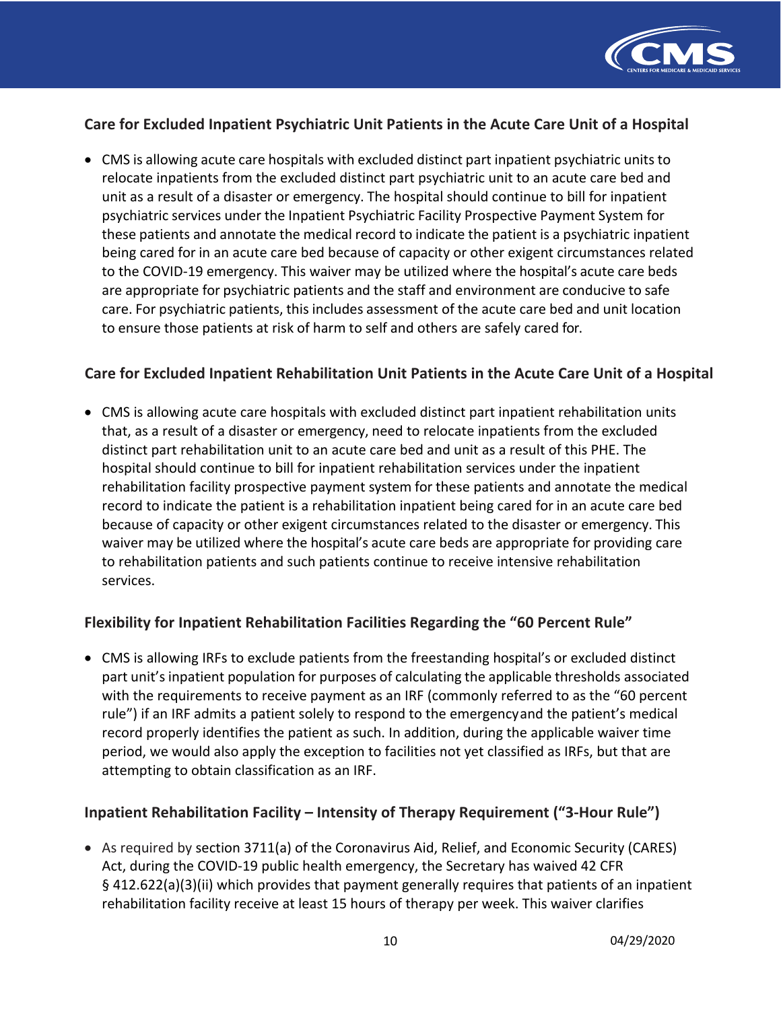

# **Care for Excluded Inpatient Psychiatric Unit Patients in the Acute Care Unit of a Hospital**

 • CMS is allowing acute care hospitals with excluded distinct part inpatient psychiatric units to relocate inpatients from the excluded distinct part psychiatric unit to an acute care bed and unit as a result of a disaster or emergency. The hospital should continue to bill for inpatient psychiatric services under the Inpatient Psychiatric Facility Prospective Payment System for these patients and annotate the medical record to indicate the patient is a psychiatric inpatient being cared for in an acute care bed because of capacity or other exigent circumstances related to the COVID-19 emergency. This waiver may be utilized where the hospital's acute care beds are appropriate for psychiatric patients and the staff and environment are conducive to safe care. For psychiatric patients, this includes assessment of the acute care bed and unit location to ensure those patients at risk of harm to self and others are safely cared for.

# **Care for Excluded Inpatient Rehabilitation Unit Patients in the Acute Care Unit of a Hospital**

 that, as a result of a disaster or emergency, need to relocate inpatients from the excluded distinct part rehabilitation unit to an acute care bed and unit as a result of this PHE. The hospital should continue to bill for inpatient rehabilitation services under the inpatient rehabilitation facility prospective payment system for these patients and annotate the medical record to indicate the patient is a rehabilitation inpatient being cared for in an acute care bed because of capacity or other exigent circumstances related to the disaster or emergency. This waiver may be utilized where the hospital's acute care beds are appropriate for providing care to rehabilitation patients and such patients continue to receive intensive rehabilitation • CMS is allowing acute care hospitals with excluded distinct part inpatient rehabilitation units services.

## **Flexibility for Inpatient Rehabilitation Facilities Regarding the "60 Percent Rule"**

 part unit's inpatient population for purposes of calculating the applicable thresholds associated with the requirements to receive payment as an IRF (commonly referred to as the "60 percent rule") if an IRF admits a patient solely to respond to the emergencyand the patient's medical record properly identifies the patient as such. In addition, during the applicable waiver time period, we would also apply the exception to facilities not yet classified as IRFs, but that are .<br>attempting to obtain classification as an IRF. • CMS is allowing IRFs to exclude patients from the freestanding hospital's or excluded distinct

## **Inpatient Rehabilitation Facility – Intensity of Therapy Requirement ("3-Hour Rule")**

 Act, during the COVID-19 public health emergency, the Secretary has waived 42 CFR § 412.622(a)(3)(ii) which provides that payment generally requires that patients of an inpatient rehabilitation facility receive at least 15 hours of therapy per week. This waiver clarifies • As required by section 3711(a) of the Coronavirus Aid, Relief, and Economic Security (CARES)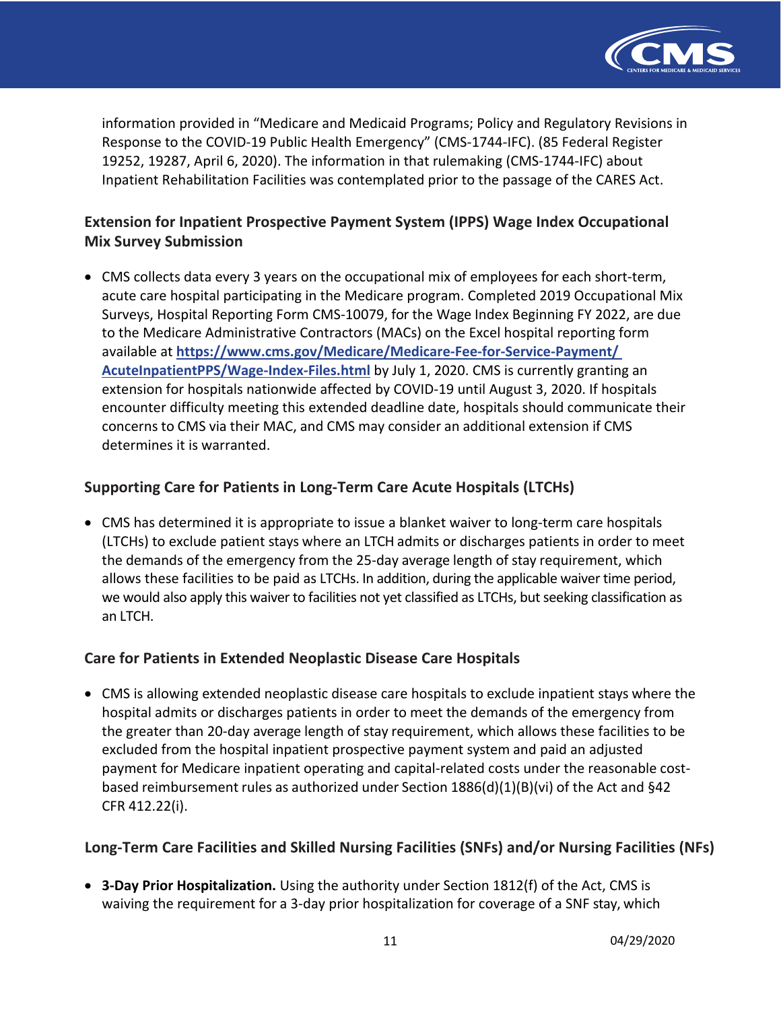

 information provided in "Medicare and Medicaid Programs; Policy and Regulatory Revisions in Response to the COVID-19 Public Health Emergency" (CMS-1744-IFC). (85 Federal Register 19252, 19287, April 6, 2020). The information in that rulemaking (CMS-1744-IFC) about Inpatient Rehabilitation Facilities was contemplated prior to the passage of the CARES Act.

# **Extension for Inpatient Prospective Payment System (IPPS) Wage Index Occupational Mix Survey Submission**

 • CMS collects data every 3 years on the occupational mix of employees for each short-term, acute care hospital participating in the Medicare program. Completed 2019 Occupational Mix Surveys, Hospital Reporting Form CMS-10079, for the Wage Index Beginning FY 2022, are due to the Medicare Administrative Contractors (MACs) on the Excel hospital reporting form **AcuteInpatientPPS/Wage-Index-Files.html** by July 1, 2020. CMS is currently granting an extension for hospitals nationwide affected by COVID-19 until August 3, 2020. If hospitals encounter difficulty meeting this extended deadline date, hospitals should communicate their concerns to CMS via their MAC, and CMS may consider an additional extension if CMS determines it is warranted. available at **[https://www.cms.gov/Medicare/Medicare-Fee-for-Service-Payment](https://www.cms.gov/Medicare/Medicare-Fee-for-Service-Payment/AcuteInpatientPPS/Wage-Index-Files)/**

# **Supporting Care for Patients in Long-Term Care Acute Hospitals (LTCHs)**

 • CMS has determined it is appropriate to issue a blanket waiver to long-term care hospitals (LTCHs) to exclude patient stays where an LTCH admits or discharges patients in order to meet the demands of the emergency from the 25-day average length of stay requirement, which allows these facilities to be paid as LTCHs. In addition, during the applicable waiver time period, we would also apply this waiver to facilities not yet classified as LTCHs, but seeking classification as an LTCH.

# **Care for Patients in Extended Neoplastic Disease Care Hospitals**

 • CMS is allowing extended neoplastic disease care hospitals to exclude inpatient stays where the hospital admits or discharges patients in order to meet the demands of the emergency from the greater than 20-day average length of stay requirement, which allows these facilities to be excluded from the hospital inpatient prospective payment system and paid an adjusted payment for Medicare inpatient operating and capital-related costs under the reasonable cost- based reimbursement rules as authorized under Section 1886(d)(1)(B)(vi) of the Act and §42 CFR 412.22(i).

# **Long-Term Care Facilities and Skilled Nursing Facilities (SNFs) and/or Nursing Facilities (NFs)**

 waiving the requirement for a 3-day prior hospitalization for coverage of a SNF stay, which • **3-Day Prior Hospitalization.** Using the authority under Section 1812(f) of the Act, CMS is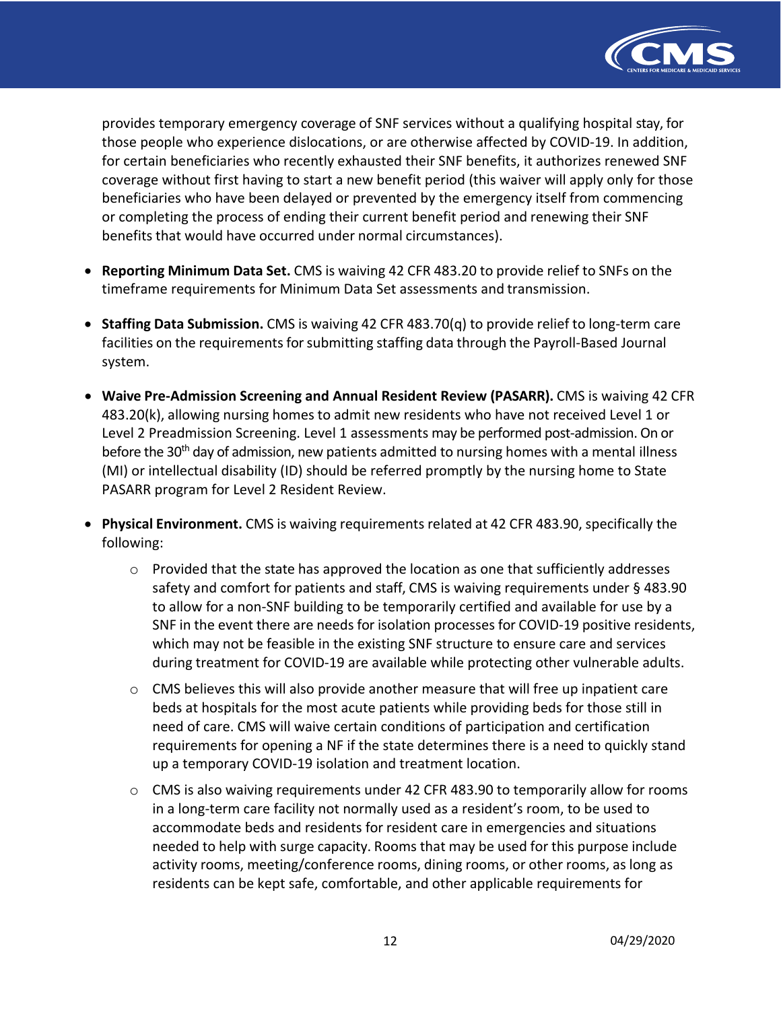

 provides temporary emergency coverage of SNF services without a qualifying hospital stay, for those people who experience dislocations, or are otherwise affected by COVID-19. In addition, for certain beneficiaries who recently exhausted their SNF benefits, it authorizes renewed SNF coverage without first having to start a new benefit period (this waiver will apply only for those beneficiaries who have been delayed or prevented by the emergency itself from commencing or completing the process of ending their current benefit period and renewing their SNF benefits that would have occurred under normal circumstances).

- **Reporting Minimum Data Set.** CMS is waiving 42 CFR 483.20 to provide relief to SNFs on the timeframe requirements for Minimum Data Set assessments and transmission.
- **Staffing Data Submission.** CMS is waiving 42 CFR 483.70(q) to provide relief to long-term care facilities on the requirements for submitting staffing data through the Payroll-Based Journal system.
- **Waive Pre-Admission Screening and Annual Resident Review (PASARR).** CMS is waiving 42 CFR 483.20(k), allowing nursing homes to admit new residents who have not received Level 1 or PASARR program for Level 2 Resident Review. Level 2 Preadmission Screening. Level 1 assessments may be performed post-admission. On or before the 30<sup>th</sup> day of admission, new patients admitted to nursing homes with a mental illness (MI) or intellectual disability (ID) should be referred promptly by the nursing home to State
- • **Physical Environment.** CMS is waiving requirements related at 42 CFR 483.90, specifically the following:
	- $\circ$  Provided that the state has approved the location as one that sufficiently addresses safety and comfort for patients and staff, CMS is waiving requirements under § 483.90 to allow for a non-SNF building to be temporarily certified and available for use by a SNF in the event there are needs for isolation processes for COVID-19 positive residents, which may not be feasible in the existing SNF structure to ensure care and services during treatment for COVID-19 are available while protecting other vulnerable adults.
	- $\circ$  CMS believes this will also provide another measure that will free up inpatient care beds at hospitals for the most acute patients while providing beds for those still in need of care. CMS will waive certain conditions of participation and certification requirements for opening a NF if the state determines there is a need to quickly stand up a temporary COVID-19 isolation and treatment location.
	- o CMS is also waiving requirements under 42 CFR 483.90 to temporarily allow for rooms in a long-term care facility not normally used as a resident's room, to be used to accommodate beds and residents for resident care in emergencies and situations needed to help with surge capacity. Rooms that may be used for this purpose include activity rooms, meeting/conference rooms, dining rooms, or other rooms, as long as residents can be kept safe, comfortable, and other applicable requirements for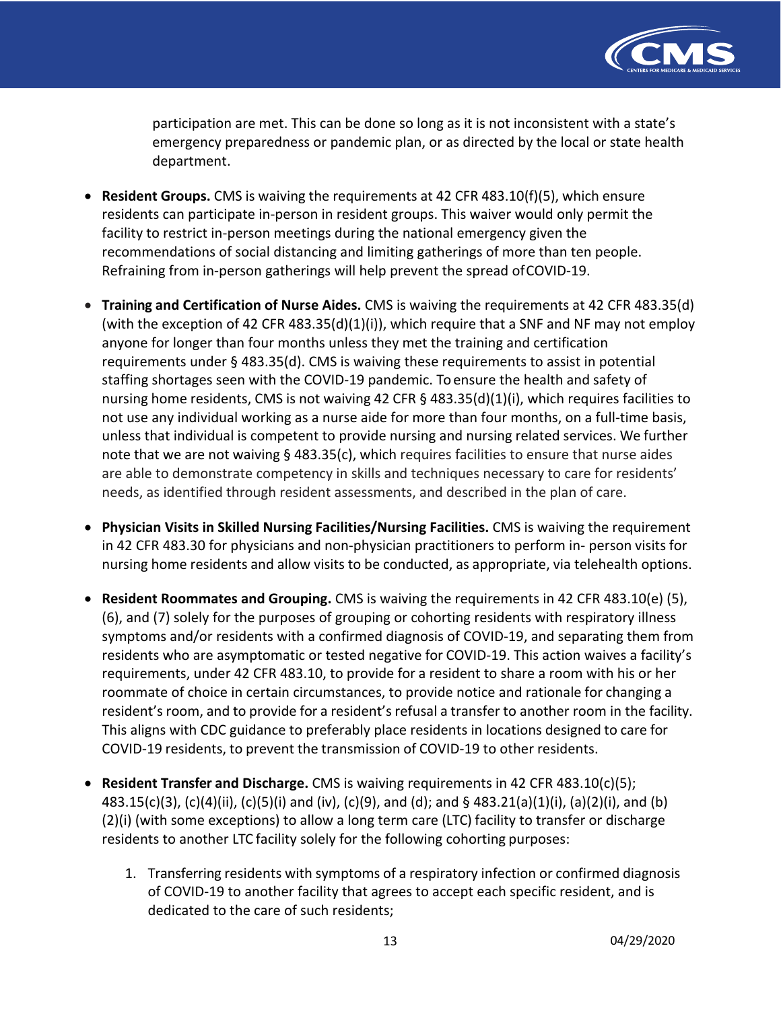

 participation are met. This can be done so long as it is not inconsistent with a state's emergency preparedness or pandemic plan, or as directed by the local or state health department.

- **Resident Groups.** CMS is waiving the requirements at 42 CFR 483.10(f)(5), which ensure residents can participate in-person in resident groups. This waiver would only permit the facility to restrict in-person meetings during the national emergency given the recommendations of social distancing and limiting gatherings of more than ten people. Refraining from in-person gatherings will help prevent the spread ofCOVID-19.
- **Training and Certification of Nurse Aides.** CMS is waiving the requirements at 42 CFR 483.35(d) (with the exception of 42 CFR 483.35(d)(1)(i)), which require that a SNF and NF may not employ anyone for longer than four months unless they met the training and certification requirements under § 483.35(d). CMS is waiving these requirements to assist in potential staffing shortages seen with the COVID-19 pandemic. To ensure the health and safety of nursing home residents, CMS is not waiving 42 CFR § 483.35(d)(1)(i), which requires facilities to not use any individual working as a nurse aide for more than four months, on a full-time basis, unless that individual is competent to provide nursing and nursing related services. We further note that we are not waiving § 483.35(c), which requires facilities to ensure that nurse aides are able to demonstrate competency in skills and techniques necessary to care for residents' needs, as identified through resident assessments, and described in the plan of care.
- **Physician Visits in Skilled Nursing Facilities/Nursing Facilities.** CMS is waiving the requirement in 42 CFR 483.30 for physicians and non-physician practitioners to perform in- person visits for nursing home residents and allow visits to be conducted, as appropriate, via telehealth options.
- • **Resident Roommates and Grouping.** CMS is waiving the requirements in 42 CFR 483.10(e) (5), (6), and (7) solely for the purposes of grouping or cohorting residents with respiratory illness symptoms and/or residents with a confirmed diagnosis of COVID-19, and separating them from residents who are asymptomatic or tested negative for COVID-19. This action waives a facility's requirements, under 42 CFR 483.10, to provide for a resident to share a room with his or her roommate of choice in certain circumstances, to provide notice and rationale for changing a resident's room, and to provide for a resident's refusal a transfer to another room in the facility. This aligns with CDC guidance to preferably place residents in locations designed to care for COVID-19 residents, to prevent the transmission of COVID-19 to other residents.
- • **Resident Transfer and Discharge.** CMS is waiving requirements in 42 CFR 483.10(c)(5); 483.15(c)(3), (c)(4)(ii), (c)(5)(i) and (iv), (c)(9), and (d); and § 483.21(a)(1)(i), (a)(2)(i), and (b) (2)(i) (with some exceptions) to allow a long term care (LTC) facility to transfer or discharge residents to another LTC facility solely for the following cohorting purposes:
	- 1. Transferring residents with symptoms of a respiratory infection or confirmed diagnosis of COVID-19 to another facility that agrees to accept each specific resident, and is dedicated to the care of such residents;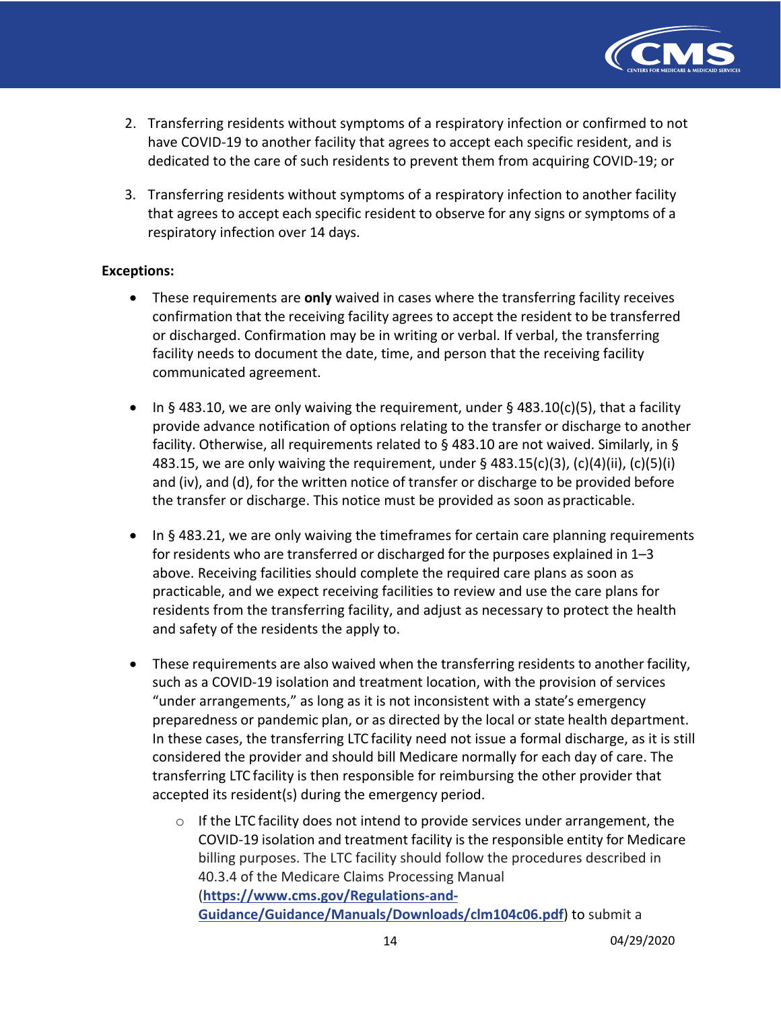

- 2. Transferring residents without symptoms of a respiratory infection or confirmed to not have COVID-19 to another facility that agrees to accept each specific resident, and is dedicated to the care of such residents to prevent them from acquiring COVID-19; or
- 3. Transferring residents without symptoms of a respiratory infection to another facility that agrees to accept each specific resident to observe for any signs or symptoms of a respiratory infection over 14 days.

#### **Exceptions:**

- • These requirements are **only** waived in cases where the transferring facility receives confirmation that the receiving facility agrees to accept the resident to be transferred or discharged. Confirmation may be in writing or verbal. If verbal, the transferring facility needs to document the date, time, and person that the receiving facility communicated agreement.
- • In § 483.10, we are only waiving the requirement, under § 483.10(c)(5), that a facility provide advance notification of options relating to the transfer or discharge to another facility. Otherwise, all requirements related to § 483.10 are not waived. Similarly, in § 483.15, we are only waiving the requirement, under § 483.15(c)(3), (c)(4)(ii), (c)(5)(i) and (iv), and (d), for the written notice of transfer or discharge to be provided before the transfer or discharge. This notice must be provided as soon as practicable.
- • In § 483.21, we are only waiving the timeframes for certain care planning requirements for residents who are transferred or discharged for the purposes explained in 1–3 above. Receiving facilities should complete the required care plans as soon as practicable, and we expect receiving facilities to review and use the care plans for residents from the transferring facility, and adjust as necessary to protect the health and safety of the residents the apply to.
- • These requirements are also waived when the transferring residents to another facility, such as a COVID-19 isolation and treatment location, with the provision of services "under arrangements," as long as it is not inconsistent with a state's emergency preparedness or pandemic plan, or as directed by the local or state health department. In these cases, the transferring LTC facility need not issue a formal discharge, as it is still considered the provider and should bill Medicare normally for each day of care. The transferring LTC facility is then responsible for reimbursing the other provider that accepted its resident(s) during the emergency period.
	- $\circ$  If the LTC facility does not intend to provide services under arrangement, the COVID-19 isolation and treatment facility is the responsible entity for Medicare billing purposes. The LTC facility should follow the procedures described in 40.3.4 of the Medicare Claims Processing Manual **[Guidance/Guidance/Manuals/Downloads/clm104c06.pdf](https://www.cms.gov/Regulations-and-Guidance/Guidance/Manuals/Downloads/clm104c06.pdf)**) to submit a (**https://www.cms.gov/Regulations-and-**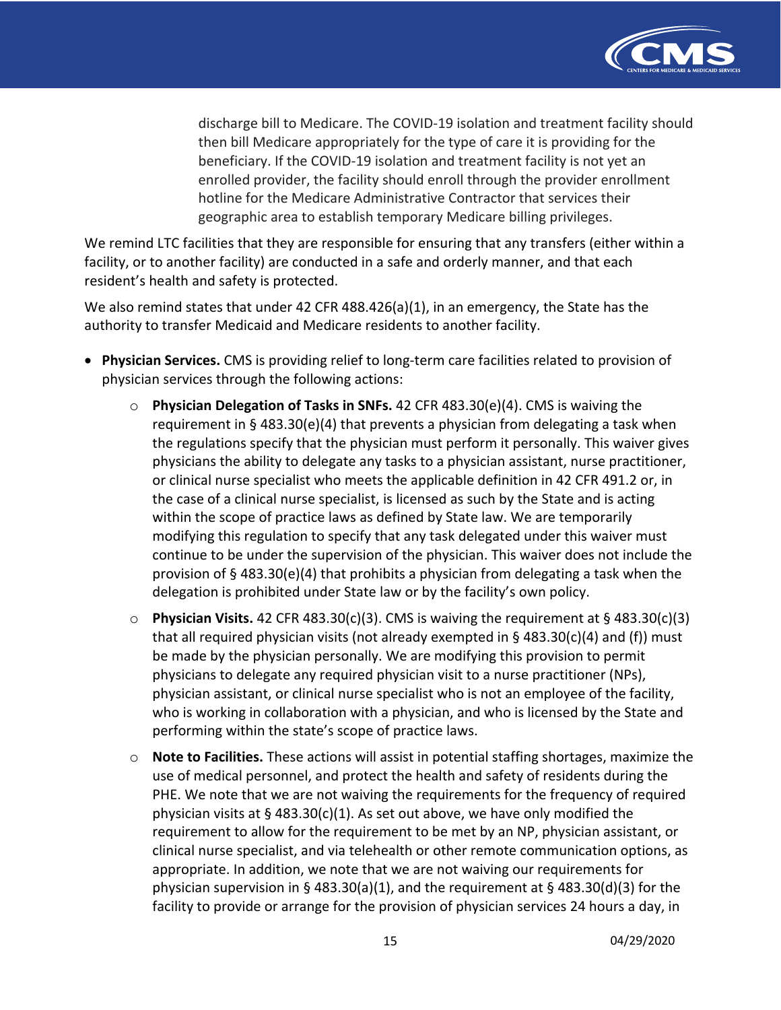

 discharge bill to Medicare. The COVID-19 isolation and treatment facility should then bill Medicare appropriately for the type of care it is providing for the beneficiary. If the COVID-19 isolation and treatment facility is not yet an enrolled provider, the facility should enroll through the provider enrollment hotline for the Medicare Administrative Contractor that services their geographic area to establish temporary Medicare billing privileges.

 We remind LTC facilities that they are responsible for ensuring that any transfers (either within a facility, or to another facility) are conducted in a safe and orderly manner, and that each resident's health and safety is protected.

 We also remind states that under 42 CFR 488.426(a)(1), in an emergency, the State has the authority to transfer Medicaid and Medicare residents to another facility.

- • **Physician Services.** CMS is providing relief to long-term care facilities related to provision of physician services through the following actions:
	- o **Physician Delegation of Tasks in SNFs.** 42 CFR 483.30(e)(4). CMS is waiving the requirement in § 483.30(e)(4) that prevents a physician from delegating a task when the regulations specify that the physician must perform it personally. This waiver gives physicians the ability to delegate any tasks to a physician assistant, nurse practitioner, or clinical nurse specialist who meets the applicable definition in 42 CFR 491.2 or, in the case of a clinical nurse specialist, is licensed as such by the State and is acting within the scope of practice laws as defined by State law. We are temporarily modifying this regulation to specify that any task delegated under this waiver must continue to be under the supervision of the physician. This waiver does not include the provision of § 483.30(e)(4) that prohibits a physician from delegating a task when the delegation is prohibited under State law or by the facility's own policy.
	- o **Physician Visits.** 42 CFR 483.30(c)(3). CMS is waiving the requirement at § 483.30(c)(3) that all required physician visits (not already exempted in § 483.30(c)(4) and (f)) must be made by the physician personally. We are modifying this provision to permit physicians to delegate any required physician visit to a nurse practitioner (NPs), physician assistant, or clinical nurse specialist who is not an employee of the facility, who is working in collaboration with a physician, and who is licensed by the State and performing within the state's scope of practice laws.
	- o **Note to Facilities.** These actions will assist in potential staffing shortages, maximize the use of medical personnel, and protect the health and safety of residents during the PHE. We note that we are not waiving the requirements for the frequency of required physician visits at § 483.30(c)(1). As set out above, we have only modified the requirement to allow for the requirement to be met by an NP, physician assistant, or clinical nurse specialist, and via telehealth or other remote communication options, as appropriate. In addition, we note that we are not waiving our requirements for physician supervision in § 483.30(a)(1), and the requirement at § 483.30(d)(3) for the facility to provide or arrange for the provision of physician services 24 hours a day, in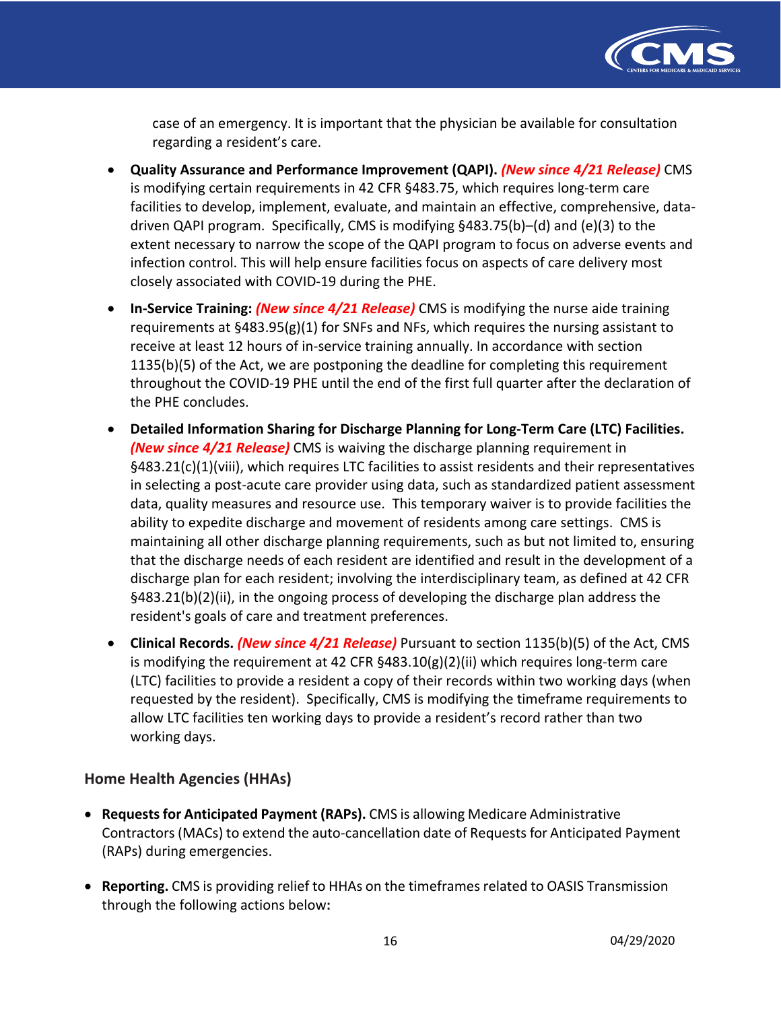

 case of an emergency. It is important that the physician be available for consultation regarding a resident's care.

- **Quality Assurance and Performance Improvement (QAPI).** *(New since 4/21 Release)* CMS is modifying certain requirements in 42 CFR §483.75, which requires long-term care facilities to develop, implement, evaluate, and maintain an effective, comprehensive, data- driven QAPI program. Specifically, CMS is modifying §483.75(b)–(d) and (e)(3) to the extent necessary to narrow the scope of the QAPI program to focus on adverse events and infection control. This will help ensure facilities focus on aspects of care delivery most closely associated with COVID-19 during the PHE.
- **In-Service Training:** *(New since 4/21 Release)* CMS is modifying the nurse aide training requirements at §483.95(g)(1) for SNFs and NFs, which requires the nursing assistant to receive at least 12 hours of in-service training annually. In accordance with section 1135(b)(5) of the Act, we are postponing the deadline for completing this requirement throughout the COVID-19 PHE until the end of the first full quarter after the declaration of the PHE concludes.
- **Detailed Information Sharing for Discharge Planning for Long-Term Care (LTC) Facilities.**   *(New since 4/21 Release)* CMS is waiving the discharge planning requirement in §483.21(c)(1)(viii), which requires LTC facilities to assist residents and their representatives in selecting a post-acute care provider using data, such as standardized patient assessment data, quality measures and resource use. This temporary waiver is to provide facilities the ability to expedite discharge and movement of residents among care settings. CMS is maintaining all other discharge planning requirements, such as but not limited to, ensuring that the discharge needs of each resident are identified and result in the development of a discharge plan for each resident; involving the interdisciplinary team, as defined at 42 CFR §483.21(b)(2)(ii), in the ongoing process of developing the discharge plan address the resident's goals of care and treatment preferences.
- **Clinical Records.** *(New since 4/21 Release)* Pursuant to section 1135(b)(5) of the Act, CMS is modifying the requirement at 42 CFR §483.10(g)(2)(ii) which requires long-term care (LTC) facilities to provide a resident a copy of their records within two working days (when requested by the resident). Specifically, CMS is modifying the timeframe requirements to allow LTC facilities ten working days to provide a resident's record rather than two working days.

## **Home Health Agencies (HHAs)**

- **Requests for Anticipated Payment (RAPs).** CMS is allowing Medicare Administrative Contractors (MACs) to extend the auto-cancellation date of Requests for Anticipated Payment (RAPs) during emergencies.
- • **Reporting.** CMS is providing relief to HHAs on the timeframes related to OASIS Transmission through the following actions below**:**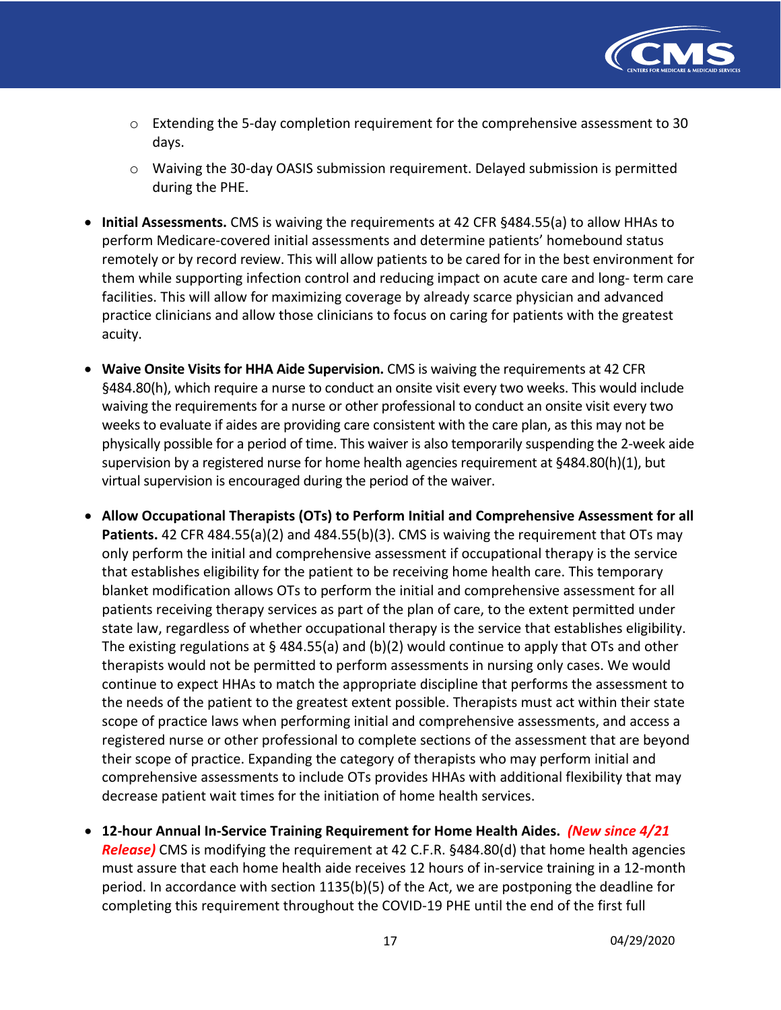

- $\circ$  Extending the 5-day completion requirement for the comprehensive assessment to 30 days.
- o Waiving the 30-day OASIS submission requirement. Delayed submission is permitted during the PHE.
- • **Initial Assessments.** CMS is waiving the requirements at 42 CFR §484.55(a) to allow HHAs to perform Medicare-covered initial assessments and determine patients' homebound status remotely or by record review. This will allow patients to be cared for in the best environment for them while supporting infection control and reducing impact on acute care and long- term care facilities. This will allow for maximizing coverage by already scarce physician and advanced practice clinicians and allow those clinicians to focus on caring for patients with the greatest acuity.
- **Waive Onsite Visits for HHA Aide Supervision.** CMS is waiving the requirements at 42 CFR §484.80(h), which require a nurse to conduct an onsite visit every two weeks. This would include waiving the requirements for a nurse or other professional to conduct an onsite visit every two weeks to evaluate if aides are providing care consistent with the care plan, as this may not be physically possible for a period of time. This waiver is also temporarily suspending the 2-week aide supervision by a registered nurse for home health agencies requirement at §484.80(h)(1), but virtual supervision is encouraged during the period of the waiver.
- **Patients.** 42 CFR 484.55(a)(2) and 484.55(b)(3). CMS is waiving the requirement that OTs may only perform the initial and comprehensive assessment if occupational therapy is the service that establishes eligibility for the patient to be receiving home health care. This temporary blanket modification allows OTs to perform the initial and comprehensive assessment for all patients receiving therapy services as part of the plan of care, to the extent permitted under state law, regardless of whether occupational therapy is the service that establishes eligibility. The existing regulations at § 484.55(a) and (b)(2) would continue to apply that OTs and other therapists would not be permitted to perform assessments in nursing only cases. We would continue to expect HHAs to match the appropriate discipline that performs the assessment to the needs of the patient to the greatest extent possible. Therapists must act within their state scope of practice laws when performing initial and comprehensive assessments, and access a registered nurse or other professional to complete sections of the assessment that are beyond their scope of practice. Expanding the category of therapists who may perform initial and comprehensive assessments to include OTs provides HHAs with additional flexibility that may decrease patient wait times for the initiation of home health services. • **Allow Occupational Therapists (OTs) to Perform Initial and Comprehensive Assessment for all**
- **12-hour Annual In-Service Training Requirement for Home Health Aides.** *(New since 4/21 Release)* CMS is modifying the requirement at 42 C.F.R. §484.80(d) that home health agencies must assure that each home health aide receives 12 hours of in-service training in a 12-month period. In accordance with section 1135(b)(5) of the Act, we are postponing the deadline for completing this requirement throughout the COVID-19 PHE until the end of the first full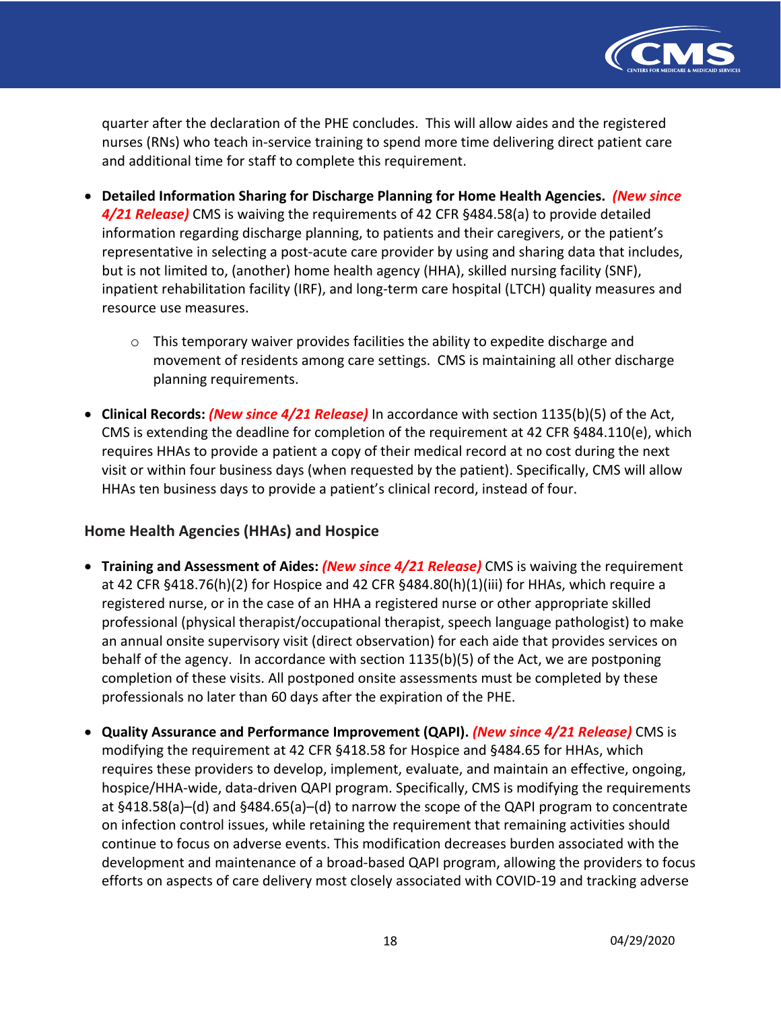

 quarter after the declaration of the PHE concludes. This will allow aides and the registered nurses (RNs) who teach in-service training to spend more time delivering direct patient care and additional time for staff to complete this requirement.

- **Detailed Information Sharing for Discharge Planning for Home Health Agencies.** *(New since 4/21 Release)* CMS is waiving the requirements of 42 CFR §484.58(a) to provide detailed information regarding discharge planning, to patients and their caregivers, or the patient's representative in selecting a post-acute care provider by using and sharing data that includes, but is not limited to, (another) home health agency (HHA), skilled nursing facility (SNF), inpatient rehabilitation facility (IRF), and long-term care hospital (LTCH) quality measures and resource use measures.
	- $\circ$  This temporary waiver provides facilities the ability to expedite discharge and movement of residents among care settings. CMS is maintaining all other discharge planning requirements.
- **Clinical Records:** *(New since 4/21 Release)* In accordance with section 1135(b)(5) of the Act, CMS is extending the deadline for completion of the requirement at 42 CFR §484.110(e), which requires HHAs to provide a patient a copy of their medical record at no cost during the next visit or within four business days (when requested by the patient). Specifically, CMS will allow HHAs ten business days to provide a patient's clinical record, instead of four.

# **Home Health Agencies (HHAs) and Hospice**

- **Training and Assessment of Aides:** *(New since 4/21 Release)* CMS is waiving the requirement at 42 CFR §418.76(h)(2) for Hospice and 42 CFR §484.80(h)(1)(iii) for HHAs, which require a registered nurse, or in the case of an HHA a registered nurse or other appropriate skilled professional (physical therapist/occupational therapist, speech language pathologist) to make an annual onsite supervisory visit (direct observation) for each aide that provides services on behalf of the agency. In accordance with section 1135(b)(5) of the Act, we are postponing completion of these visits. All postponed onsite assessments must be completed by these professionals no later than 60 days after the expiration of the PHE.
- **Quality Assurance and Performance Improvement (QAPI).** *(New since 4/21 Release)* CMS is modifying the requirement at 42 CFR §418.58 for Hospice and §484.65 for HHAs, which requires these providers to develop, implement, evaluate, and maintain an effective, ongoing, hospice/HHA-wide, data-driven QAPI program. Specifically, CMS is modifying the requirements at §418.58(a)–(d) and §484.65(a)–(d) to narrow the scope of the QAPI program to concentrate on infection control issues, while retaining the requirement that remaining activities should continue to focus on adverse events. This modification decreases burden associated with the development and maintenance of a broad-based QAPI program, allowing the providers to focus efforts on aspects of care delivery most closely associated with COVID-19 and tracking adverse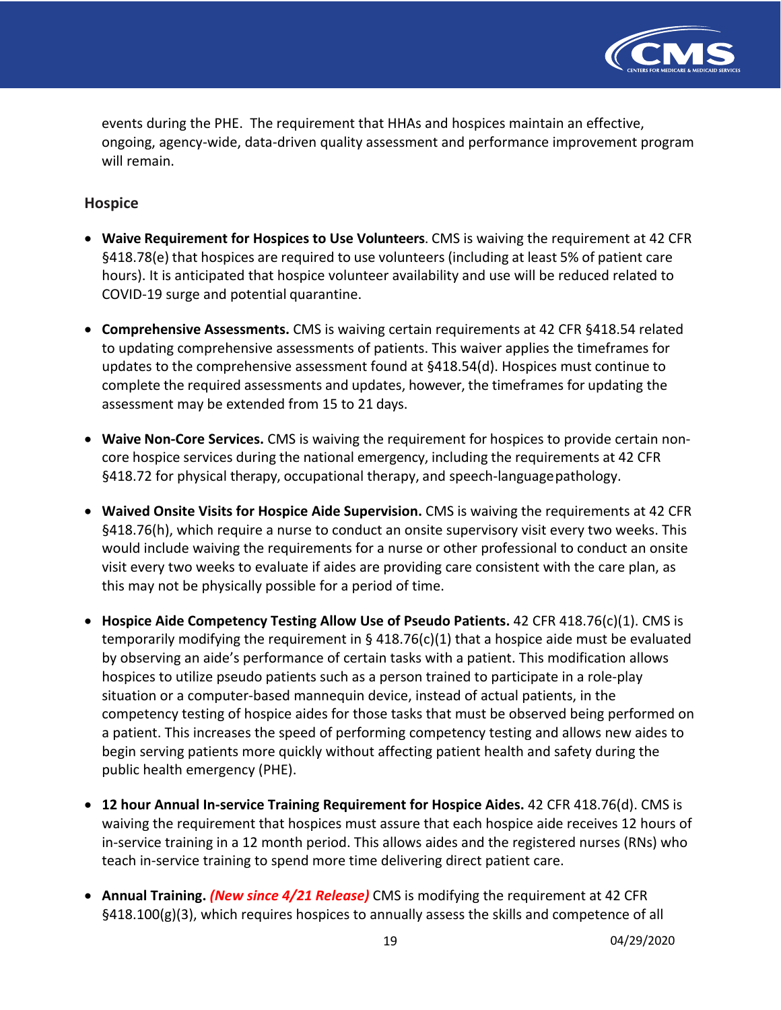

 events during the PHE. The requirement that HHAs and hospices maintain an effective, ongoing, agency-wide, data-driven quality assessment and performance improvement program will remain.

### **Hospice**

- **Waive Requirement for Hospices to Use Volunteers**. CMS is waiving the requirement at 42 CFR §418.78(e) that hospices are required to use volunteers (including at least 5% of patient care hours). It is anticipated that hospice volunteer availability and use will be reduced related to COVID-19 surge and potential quarantine.
- • **Comprehensive Assessments.** CMS is waiving certain requirements at 42 CFR §418.54 related to updating comprehensive assessments of patients. This waiver applies the timeframes for updates to the comprehensive assessment found at §418.54(d). Hospices must continue to complete the required assessments and updates, however, the timeframes for updating the assessment may be extended from 15 to 21 days.
- • **Waive Non-Core Services.** CMS is waiving the requirement for hospices to provide certain non- core hospice services during the national emergency, including the requirements at 42 CFR §418.72 for physical therapy, occupational therapy, and speech-languagepathology.
- **Waived Onsite Visits for Hospice Aide Supervision.** CMS is waiving the requirements at 42 CFR §418.76(h), which require a nurse to conduct an onsite supervisory visit every two weeks. This would include waiving the requirements for a nurse or other professional to conduct an onsite visit every two weeks to evaluate if aides are providing care consistent with the care plan, as this may not be physically possible for a period of time.
- • **Hospice Aide Competency Testing Allow Use of Pseudo Patients.** 42 CFR 418.76(c)(1). CMS is temporarily modifying the requirement in § 418.76(c)(1) that a hospice aide must be evaluated by observing an aide's performance of certain tasks with a patient. This modification allows hospices to utilize pseudo patients such as a person trained to participate in a role-play situation or a computer-based mannequin device, instead of actual patients, in the competency testing of hospice aides for those tasks that must be observed being performed on a patient. This increases the speed of performing competency testing and allows new aides to begin serving patients more quickly without affecting patient health and safety during the public health emergency (PHE).
- • **12 hour Annual In-service Training Requirement for Hospice Aides.** 42 CFR 418.76(d). CMS is waiving the requirement that hospices must assure that each hospice aide receives 12 hours of in-service training in a 12 month period. This allows aides and the registered nurses (RNs) who teach in-service training to spend more time delivering direct patient care.
- **Annual Training.** *(New since 4/21 Release)* CMS is modifying the requirement at 42 CFR §418.100(g)(3), which requires hospices to annually assess the skills and competence of all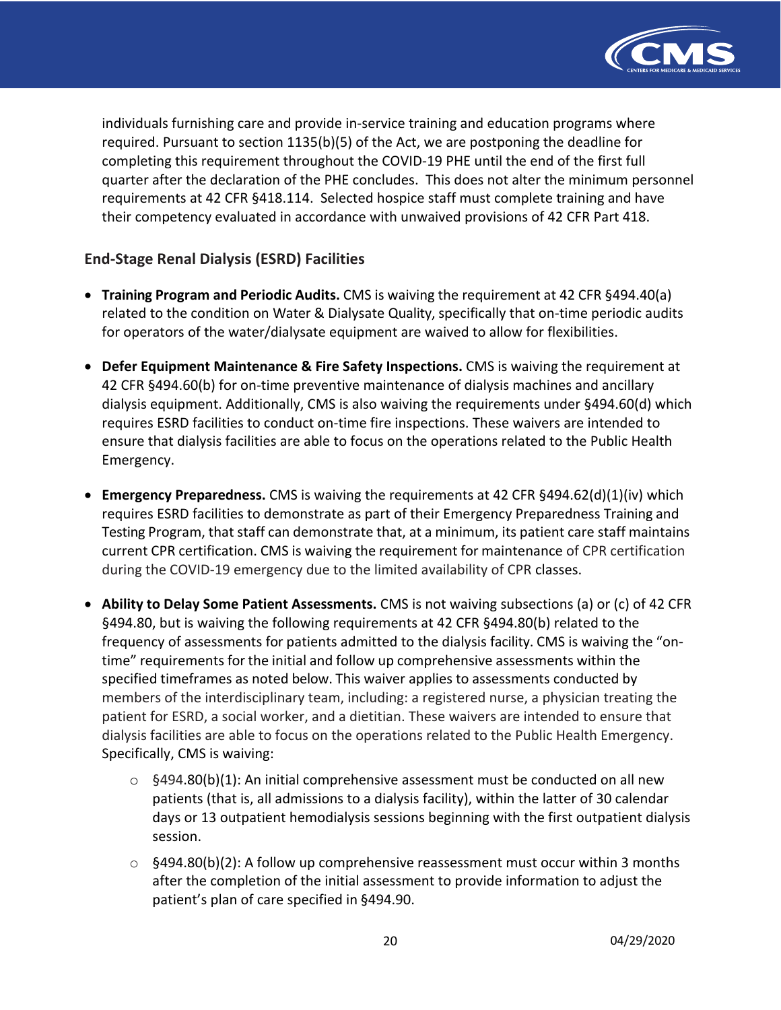

 individuals furnishing care and provide in-service training and education programs where required. Pursuant to section 1135(b)(5) of the Act, we are postponing the deadline for completing this requirement throughout the COVID-19 PHE until the end of the first full quarter after the declaration of the PHE concludes. This does not alter the minimum personnel requirements at 42 CFR §418.114. Selected hospice staff must complete training and have their competency evaluated in accordance with unwaived provisions of 42 CFR Part 418.

## **End-Stage Renal Dialysis (ESRD) Facilities**

- **Training Program and Periodic Audits.** CMS is waiving the requirement at 42 CFR §494.40(a) related to the condition on Water & Dialysate Quality, specifically that on-time periodic audits for operators of the water/dialysate equipment are waived to allow for flexibilities.
- **Defer Equipment Maintenance & Fire Safety Inspections.** CMS is waiving the requirement at 42 CFR §494.60(b) for on-time preventive maintenance of dialysis machines and ancillary dialysis equipment. Additionally, CMS is also waiving the requirements under §494.60(d) which requires ESRD facilities to conduct on-time fire inspections. These waivers are intended to ensure that dialysis facilities are able to focus on the operations related to the Public Health Emergency.
- • **Emergency Preparedness.** CMS is waiving the requirements at 42 CFR §494.62(d)(1)(iv) which requires ESRD facilities to demonstrate as part of their Emergency Preparedness Training and Testing Program, that staff can demonstrate that, at a minimum, its patient care staff maintains current CPR certification. CMS is waiving the requirement for maintenance of CPR certification during the COVID-19 emergency due to the limited availability of CPR classes.
- **Ability to Delay Some Patient Assessments.** CMS is not waiving subsections (a) or (c) of 42 CFR §494.80, but is waiving the following requirements at 42 CFR §494.80(b) related to the frequency of assessments for patients admitted to the dialysis facility. CMS is waiving the "on- time" requirements for the initial and follow up comprehensive assessments within the specified timeframes as noted below. This waiver applies to assessments conducted by members of the interdisciplinary team, including: a registered nurse, a physician treating the patient for ESRD, a social worker, and a dietitian. These waivers are intended to ensure that dialysis facilities are able to focus on the operations related to the Public Health Emergency. Specifically, CMS is waiving:
	- $\circ$  §494.80(b)(1): An initial comprehensive assessment must be conducted on all new patients (that is, all admissions to a dialysis facility), within the latter of 30 calendar days or 13 outpatient hemodialysis sessions beginning with the first outpatient dialysis session.
	- $\circ$  §494.80(b)(2): A follow up comprehensive reassessment must occur within 3 months after the completion of the initial assessment to provide information to adjust the patient's plan of care specified in §494.90.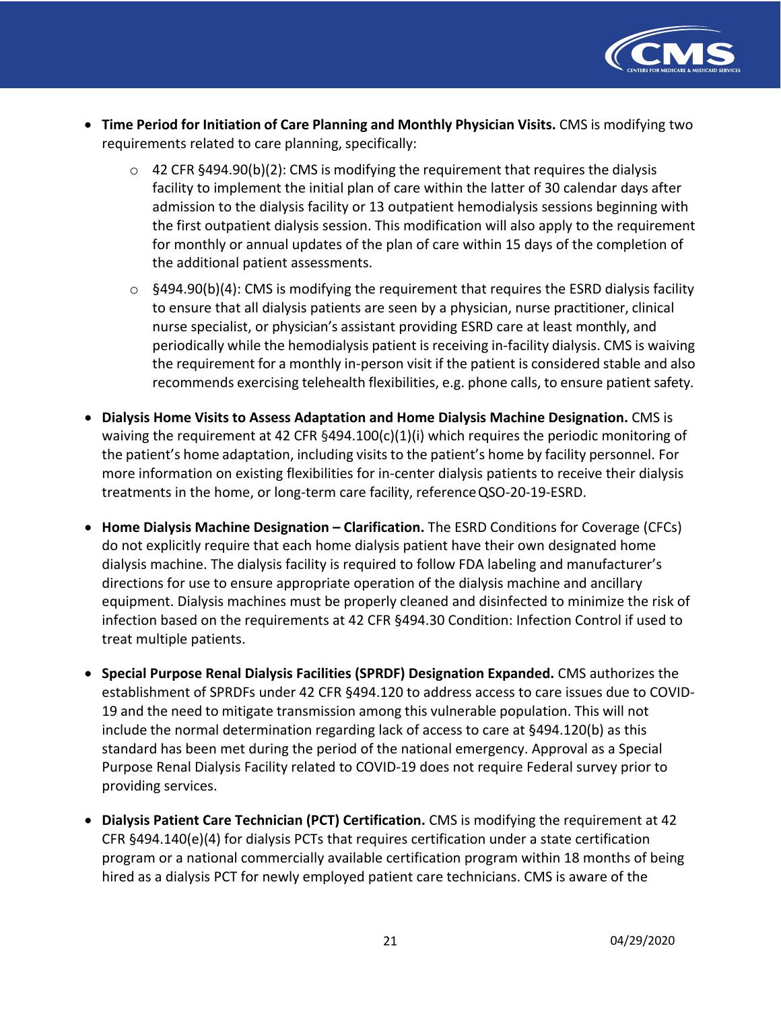

- **Time Period for Initiation of Care Planning and Monthly Physician Visits.** CMS is modifying two requirements related to care planning, specifically:
	- $\circ$  42 CFR §494.90(b)(2): CMS is modifying the requirement that requires the dialysis facility to implement the initial plan of care within the latter of 30 calendar days after admission to the dialysis facility or 13 outpatient hemodialysis sessions beginning with the first outpatient dialysis session. This modification will also apply to the requirement for monthly or annual updates of the plan of care within 15 days of the completion of the additional patient assessments.
	- $\circ$  §494.90(b)(4): CMS is modifying the requirement that requires the ESRD dialysis facility to ensure that all dialysis patients are seen by a physician, nurse practitioner, clinical nurse specialist, or physician's assistant providing ESRD care at least monthly, and periodically while the hemodialysis patient is receiving in-facility dialysis. CMS is waiving the requirement for a monthly in-person visit if the patient is considered stable and also recommends exercising telehealth flexibilities, e.g. phone calls, to ensure patient safety.
- **Dialysis Home Visits to Assess Adaptation and Home Dialysis Machine Designation.** CMS is waiving the requirement at 42 CFR §494.100(c)(1)(i) which requires the periodic monitoring of the patient's home adaptation, including visits to the patient's home by facility personnel. For more information on existing flexibilities for in-center dialysis patients to receive their dialysis treatments in the home, or long-term care facility, referenceQSO-20-19-ESRD.
- **Home Dialysis Machine Designation Clarification.** The ESRD Conditions for Coverage (CFCs) do not explicitly require that each home dialysis patient have their own designated home dialysis machine. The dialysis facility is required to follow FDA labeling and manufacturer's directions for use to ensure appropriate operation of the dialysis machine and ancillary equipment. Dialysis machines must be properly cleaned and disinfected to minimize the risk of infection based on the requirements at 42 CFR §494.30 Condition: Infection Control if used to treat multiple patients.
- **Special Purpose Renal Dialysis Facilities (SPRDF) Designation Expanded.** CMS authorizes the establishment of SPRDFs under 42 CFR §494.120 to address access to care issues due to COVID- 19 and the need to mitigate transmission among this vulnerable population. This will not include the normal determination regarding lack of access to care at §494.120(b) as this standard has been met during the period of the national emergency. Approval as a Special Purpose Renal Dialysis Facility related to COVID-19 does not require Federal survey prior to providing services.
- • **Dialysis Patient Care Technician (PCT) Certification.** CMS is modifying the requirement at 42 CFR §494.140(e)(4) for dialysis PCTs that requires certification under a state certification program or a national commercially available certification program within 18 months of being hired as a dialysis PCT for newly employed patient care technicians. CMS is aware of the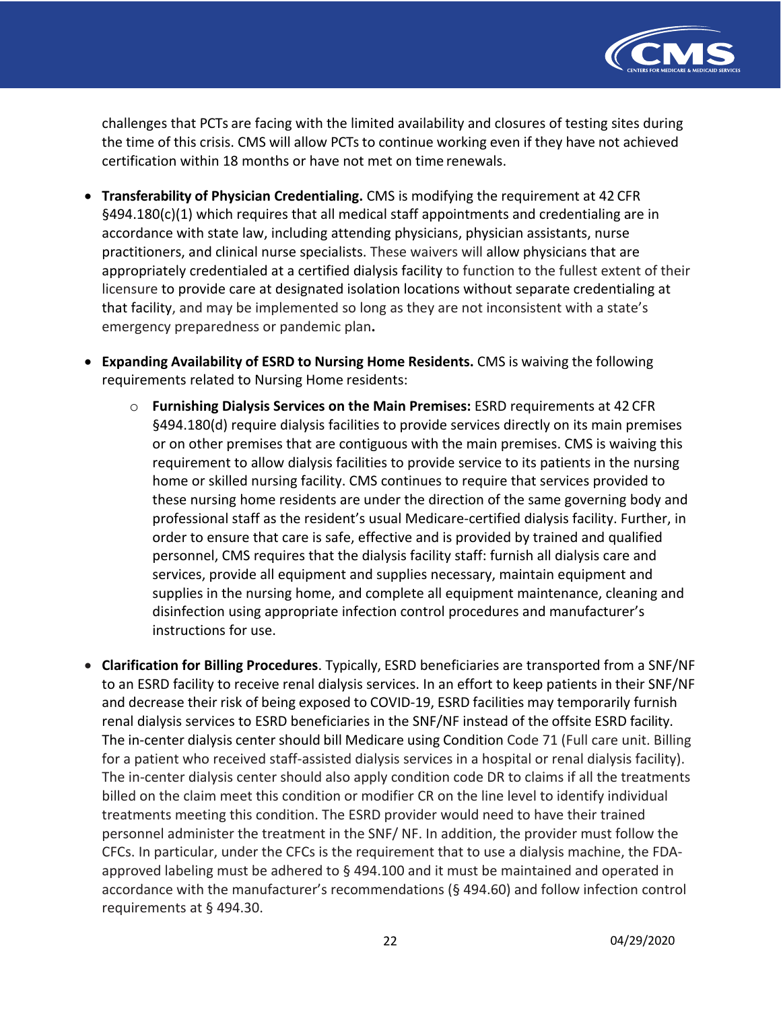

 challenges that PCTs are facing with the limited availability and closures of testing sites during the time of this crisis. CMS will allow PCTs to continue working even if they have not achieved certification within 18 months or have not met on time renewals.

- • **Transferability of Physician Credentialing.** CMS is modifying the requirement at 42 CFR §494.180(c)(1) which requires that all medical staff appointments and credentialing are in accordance with state law, including attending physicians, physician assistants, nurse practitioners, and clinical nurse specialists. These waivers will allow physicians that are appropriately credentialed at a certified dialysis facility to function to the fullest extent of their licensure to provide care at designated isolation locations without separate credentialing at that facility, and may be implemented so long as they are not inconsistent with a state's emergency preparedness or pandemic plan**.**
- **Expanding Availability of ESRD to Nursing Home Residents.** CMS is waiving the following requirements related to Nursing Home residents:
	- o **Furnishing Dialysis Services on the Main Premises:** ESRD requirements at 42 CFR §494.180(d) require dialysis facilities to provide services directly on its main premises or on other premises that are contiguous with the main premises. CMS is waiving this requirement to allow dialysis facilities to provide service to its patients in the nursing home or skilled nursing facility. CMS continues to require that services provided to these nursing home residents are under the direction of the same governing body and professional staff as the resident's usual Medicare-certified dialysis facility. Further, in order to ensure that care is safe, effective and is provided by trained and qualified personnel, CMS requires that the dialysis facility staff: furnish all dialysis care and services, provide all equipment and supplies necessary, maintain equipment and supplies in the nursing home, and complete all equipment maintenance, cleaning and disinfection using appropriate infection control procedures and manufacturer's instructions for use.
- • **Clarification for Billing Procedures**. Typically, ESRD beneficiaries are transported from a SNF/NF to an ESRD facility to receive renal dialysis services. In an effort to keep patients in their SNF/NF and decrease their risk of being exposed to COVID-19, ESRD facilities may temporarily furnish renal dialysis services to ESRD beneficiaries in the SNF/NF instead of the offsite ESRD facility. The in-center dialysis center should bill Medicare using Condition Code 71 (Full care unit. Billing for a patient who received staff-assisted dialysis services in a hospital or renal dialysis facility). The in-center dialysis center should also apply condition code DR to claims if all the treatments billed on the claim meet this condition or modifier CR on the line level to identify individual treatments meeting this condition. The ESRD provider would need to have their trained personnel administer the treatment in the SNF/ NF. In addition, the provider must follow the CFCs. In particular, under the CFCs is the requirement that to use a dialysis machine, the FDA- approved labeling must be adhered to § 494.100 and it must be maintained and operated in accordance with the manufacturer's recommendations (§ 494.60) and follow infection control requirements at § 494.30.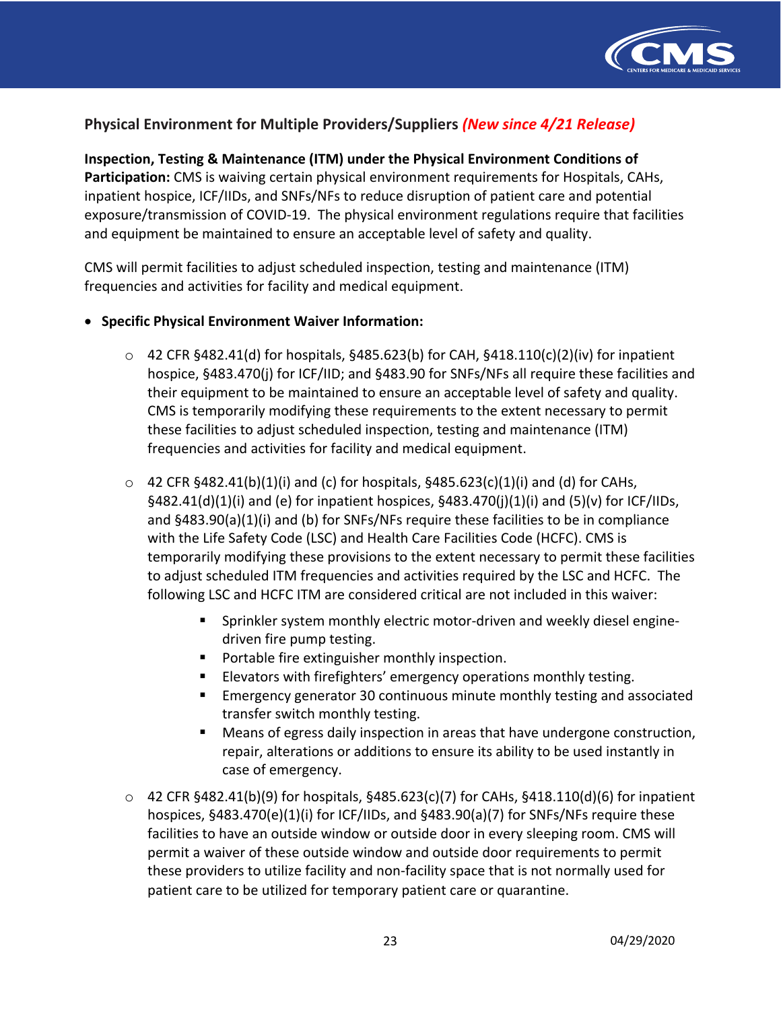

## **Physical Environment for Multiple Providers/Suppliers** *(New since 4/21 Release)*

 **Inspection, Testing & Maintenance (ITM) under the Physical Environment Conditions of Participation:** CMS is waiving certain physical environment requirements for Hospitals, CAHs, inpatient hospice, ICF/IIDs, and SNFs/NFs to reduce disruption of patient care and potential exposure/transmission of COVID-19. The physical environment regulations require that facilities and equipment be maintained to ensure an acceptable level of safety and quality.

 CMS will permit facilities to adjust scheduled inspection, testing and maintenance (ITM) frequencies and activities for facility and medical equipment.

#### • **Specific Physical Environment Waiver Information:**

- $\circ$  42 CFR §482.41(d) for hospitals, §485.623(b) for CAH, §418.110(c)(2)(iv) for inpatient hospice, §483.470(j) for ICF/IID; and §483.90 for SNFs/NFs all require these facilities and their equipment to be maintained to ensure an acceptable level of safety and quality. CMS is temporarily modifying these requirements to the extent necessary to permit these facilities to adjust scheduled inspection, testing and maintenance (ITM) frequencies and activities for facility and medical equipment.
- $\circ$  42 CFR §482.41(b)(1)(i) and (c) for hospitals, §485.623(c)(1)(i) and (d) for CAHs, §482.41(d)(1)(i) and (e) for inpatient hospices, §483.470(j)(1)(i) and (5)(v) for ICF/IIDs, and §483.90(a)(1)(i) and (b) for SNFs/NFs require these facilities to be in compliance with the Life Safety Code (LSC) and Health Care Facilities Code (HCFC). CMS is temporarily modifying these provisions to the extent necessary to permit these facilities to adjust scheduled ITM frequencies and activities required by the LSC and HCFC. The following LSC and HCFC ITM are considered critical are not included in this waiver:
	- • Sprinkler system monthly electric motor-driven and weekly diesel engine-driven fire pump testing.
	- Portable fire extinguisher monthly inspection.
	- Elevators with firefighters' emergency operations monthly testing.
	- • Emergency generator 30 continuous minute monthly testing and associated transfer switch monthly testing.
	- • Means of egress daily inspection in areas that have undergone construction, repair, alterations or additions to ensure its ability to be used instantly in case of emergency.
- $\circ$  42 CFR §482.41(b)(9) for hospitals, §485.623(c)(7) for CAHs, §418.110(d)(6) for inpatient hospices, §483.470(e)(1)(i) for ICF/IIDs, and §483.90(a)(7) for SNFs/NFs require these facilities to have an outside window or outside door in every sleeping room. CMS will permit a waiver of these outside window and outside door requirements to permit these providers to utilize facility and non-facility space that is not normally used for patient care to be utilized for temporary patient care or quarantine.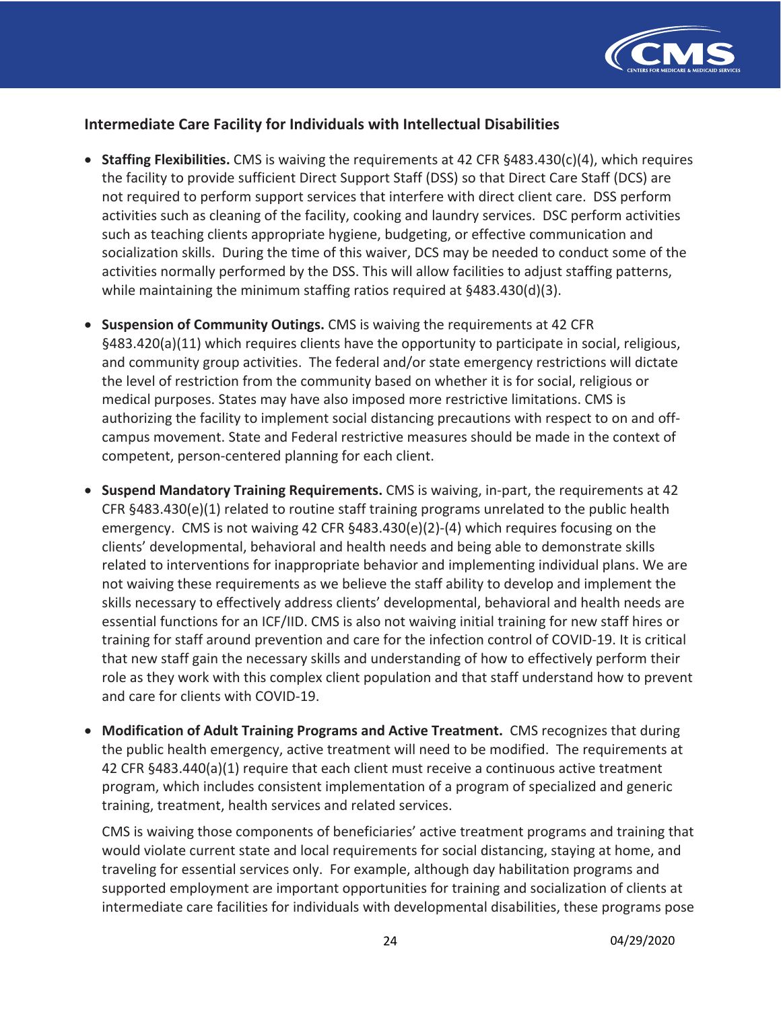

## **Intermediate Care Facility for Individuals with Intellectual Disabilities**

- • **Staffing Flexibilities.** CMS is waiving the requirements at 42 CFR §483.430(c)(4), which requires the facility to provide sufficient Direct Support Staff (DSS) so that Direct Care Staff (DCS) are not required to perform support services that interfere with direct client care. DSS perform activities such as cleaning of the facility, cooking and laundry services. DSC perform activities such as teaching clients appropriate hygiene, budgeting, or effective communication and socialization skills. During the time of this waiver, DCS may be needed to conduct some of the activities normally performed by the DSS. This will allow facilities to adjust staffing patterns, while maintaining the minimum staffing ratios required at §483.430(d)(3).
- • **Suspension of Community Outings.** CMS is waiving the requirements at 42 CFR §483.420(a)(11) which requires clients have the opportunity to participate in social, religious, and community group activities. The federal and/or state emergency restrictions will dictate the level of restriction from the community based on whether it is for social, religious or medical purposes. States may have also imposed more restrictive limitations. CMS is authorizing the facility to implement social distancing precautions with respect to on and off- campus movement. State and Federal restrictive measures should be made in the context of competent, person-centered planning for each client.
- **Suspend Mandatory Training Requirements.** CMS is waiving, in-part, the requirements at 42 CFR §483.430(e)(1) related to routine staff training programs unrelated to the public health emergency. CMS is not waiving 42 CFR §483.430(e)(2)-(4) which requires focusing on the clients' developmental, behavioral and health needs and being able to demonstrate skills related to interventions for inappropriate behavior and implementing individual plans. We are not waiving these requirements as we believe the staff ability to develop and implement the skills necessary to effectively address clients' developmental, behavioral and health needs are essential functions for an ICF/IID. CMS is also not waiving initial training for new staff hires or training for staff around prevention and care for the infection control of COVID-19. It is critical that new staff gain the necessary skills and understanding of how to effectively perform their role as they work with this complex client population and that staff understand how to prevent and care for clients with COVID-19.
- **Modification of Adult Training Programs and Active Treatment.** CMS recognizes that during the public health emergency, active treatment will need to be modified. The requirements at 42 CFR §483.440(a)(1) require that each client must receive a continuous active treatment program, which includes consistent implementation of a program of specialized and generic training, treatment, health services and related services.

 CMS is waiving those components of beneficiaries' active treatment programs and training that would violate current state and local requirements for social distancing, staying at home, and traveling for essential services only. For example, although day habilitation programs and supported employment are important opportunities for training and socialization of clients at intermediate care facilities for individuals with developmental disabilities, these programs pose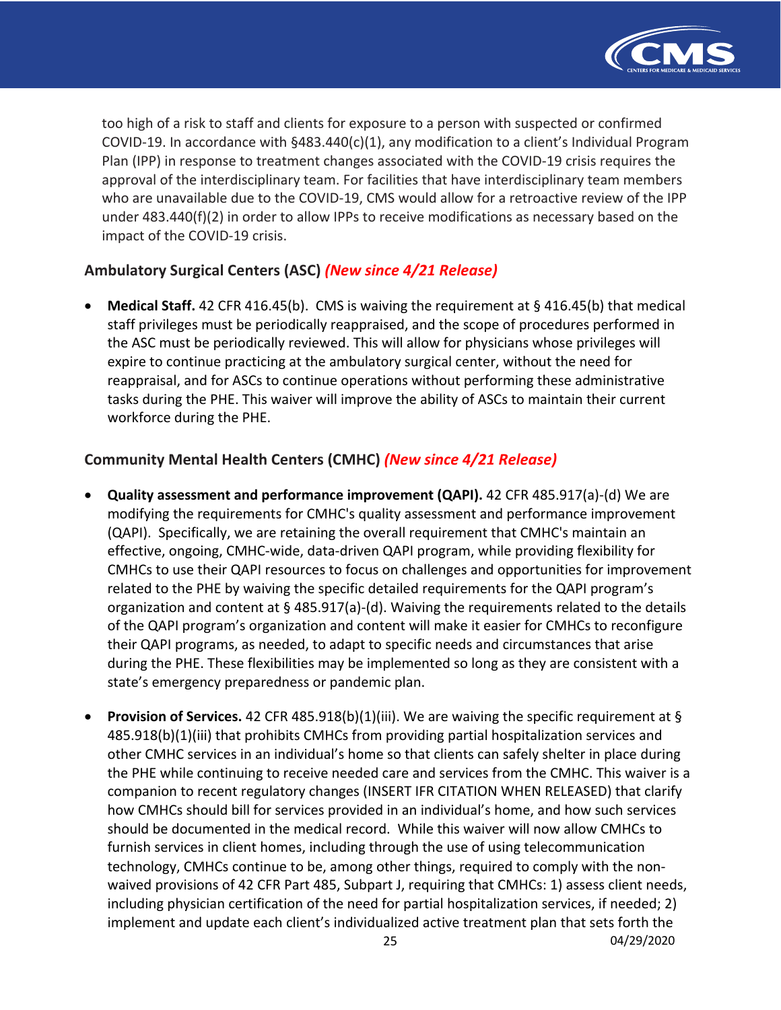

 too high of a risk to staff and clients for exposure to a person with suspected or confirmed COVID-19. In accordance with §483.440(c)(1), any modification to a client's Individual Program Plan (IPP) in response to treatment changes associated with the COVID-19 crisis requires the approval of the interdisciplinary team. For facilities that have interdisciplinary team members who are unavailable due to the COVID-19, CMS would allow for a retroactive review of the IPP under 483.440(f)(2) in order to allow IPPs to receive modifications as necessary based on the impact of the COVID-19 crisis.

# **Ambulatory Surgical Centers (ASC)** *(New since 4/21 Release)*

 • **Medical Staff.** 42 CFR 416.45(b). CMS is waiving the requirement at § 416.45(b) that medical staff privileges must be periodically reappraised, and the scope of procedures performed in the ASC must be periodically reviewed. This will allow for physicians whose privileges will expire to continue practicing at the ambulatory surgical center, without the need for reappraisal, and for ASCs to continue operations without performing these administrative tasks during the PHE. This waiver will improve the ability of ASCs to maintain their current workforce during the PHE.

# **Community Mental Health Centers (CMHC)** *(New since 4/21 Release)*

- **Quality assessment and performance improvement (QAPI).** 42 CFR 485.917(a)-(d) We are modifying the requirements for CMHC's quality assessment and performance improvement (QAPI). Specifically, we are retaining the overall requirement that CMHC's maintain an effective, ongoing, CMHC-wide, data-driven QAPI program, while providing flexibility for CMHCs to use their QAPI resources to focus on challenges and opportunities for improvement related to the PHE by waiving the specific detailed requirements for the QAPI program's organization and content at § 485.917(a)-(d). Waiving the requirements related to the details of the QAPI program's organization and content will make it easier for CMHCs to reconfigure their QAPI programs, as needed, to adapt to specific needs and circumstances that arise during the PHE. These flexibilities may be implemented so long as they are consistent with a state's emergency preparedness or pandemic plan.
- • **Provision of Services.** 42 CFR 485.918(b)(1)(iii). We are waiving the specific requirement at § 485.918(b)(1)(iii) that prohibits CMHCs from providing partial hospitalization services and other CMHC services in an individual's home so that clients can safely shelter in place during the PHE while continuing to receive needed care and services from the CMHC. This waiver is a companion to recent regulatory changes (INSERT IFR CITATION WHEN RELEASED) that clarify how CMHCs should bill for services provided in an individual's home, and how such services should be documented in the medical record. While this waiver will now allow CMHCs to furnish services in client homes, including through the use of using telecommunication technology, CMHCs continue to be, among other things, required to comply with the non- waived provisions of 42 CFR Part 485, Subpart J, requiring that CMHCs: 1) assess client needs, including physician certification of the need for partial hospitalization services, if needed; 2) implement and update each client's individualized active treatment plan that sets forth the 25 04/29/2020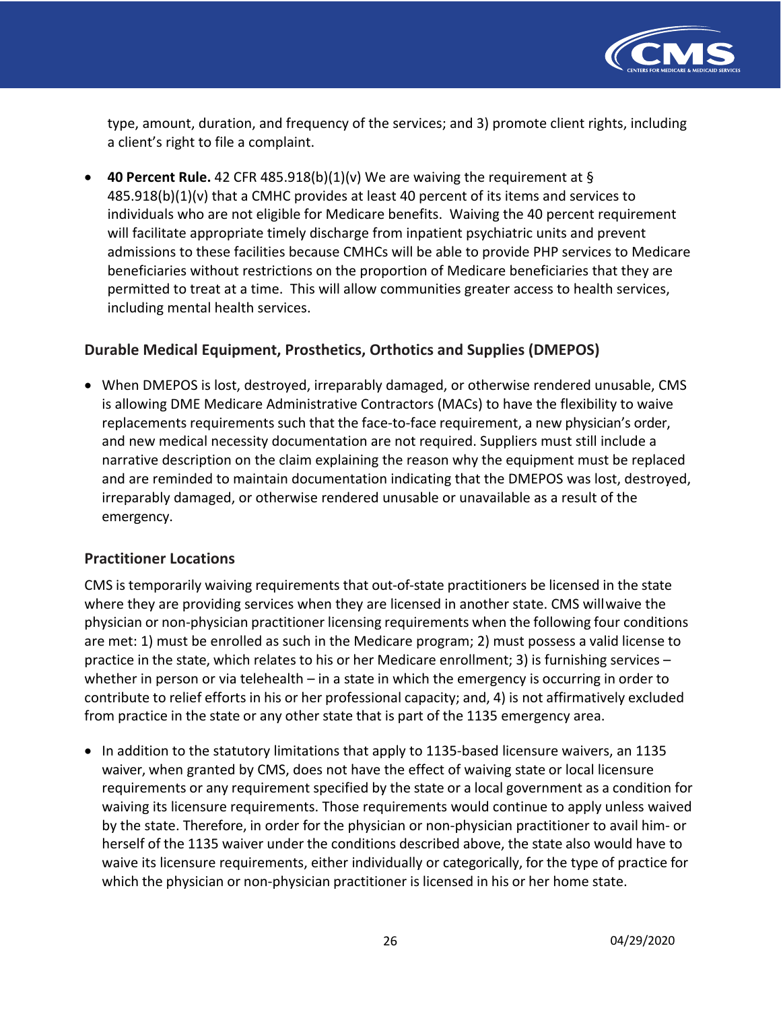

 type, amount, duration, and frequency of the services; and 3) promote client rights, including a client's right to file a complaint.

 • **40 Percent Rule.** 42 CFR 485.918(b)(1)(v) We are waiving the requirement at § 485.918(b)(1)(v) that a CMHC provides at least 40 percent of its items and services to individuals who are not eligible for Medicare benefits. Waiving the 40 percent requirement will facilitate appropriate timely discharge from inpatient psychiatric units and prevent admissions to these facilities because CMHCs will be able to provide PHP services to Medicare beneficiaries without restrictions on the proportion of Medicare beneficiaries that they are permitted to treat at a time. This will allow communities greater access to health services, including mental health services.

## **Durable Medical Equipment, Prosthetics, Orthotics and Supplies (DMEPOS)**

 • When DMEPOS is lost, destroyed, irreparably damaged, or otherwise rendered unusable, CMS is allowing DME Medicare Administrative Contractors (MACs) to have the flexibility to waive replacements requirements such that the face-to-face requirement, a new physician's order, and new medical necessity documentation are not required. Suppliers must still include a narrative description on the claim explaining the reason why the equipment must be replaced and are reminded to maintain documentation indicating that the DMEPOS was lost, destroyed, irreparably damaged, or otherwise rendered unusable or unavailable as a result of the emergency.

## **Practitioner Locations**

 CMS is temporarily waiving requirements that out-of-state practitioners be licensed in the state where they are providing services when they are licensed in another state. CMS willwaive the physician or non-physician practitioner licensing requirements when the following four conditions are met: 1) must be enrolled as such in the Medicare program; 2) must possess a valid license to practice in the state, which relates to his or her Medicare enrollment; 3) is furnishing services – whether in person or via telehealth – in a state in which the emergency is occurring in order to contribute to relief efforts in his or her professional capacity; and, 4) is not affirmatively excluded from practice in the state or any other state that is part of the 1135 emergency area.

 • In addition to the statutory limitations that apply to 1135-based licensure waivers, an 1135 waiver, when granted by CMS, does not have the effect of waiving state or local licensure requirements or any requirement specified by the state or a local government as a condition for waiving its licensure requirements. Those requirements would continue to apply unless waived by the state. Therefore, in order for the physician or non-physician practitioner to avail him- or herself of the 1135 waiver under the conditions described above, the state also would have to waive its licensure requirements, either individually or categorically, for the type of practice for which the physician or non-physician practitioner is licensed in his or her home state.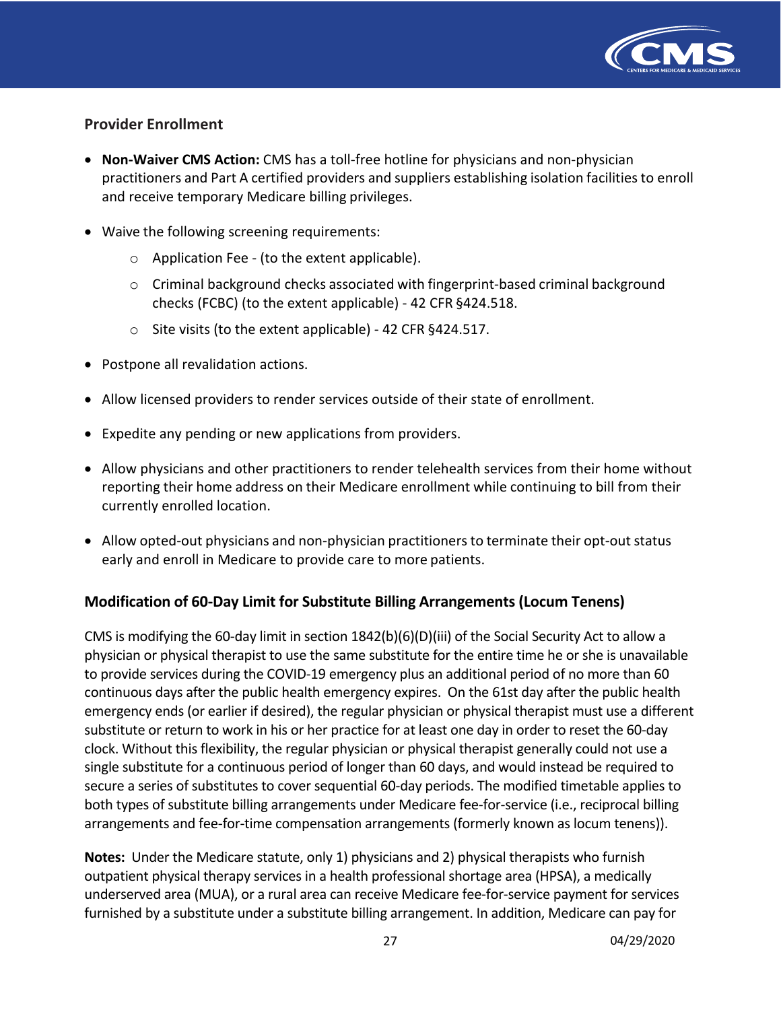

## **Provider Enrollment**

- **Non-Waiver CMS Action:** CMS has a toll-free hotline for physicians and non-physician practitioners and Part A certified providers and suppliers establishing isolation facilities to enroll and receive temporary Medicare billing privileges.
- • Waive the following screening requirements:
	- $\circ$  Application Fee (to the extent applicable).
	- o Criminal background checks associated with fingerprint-based criminal background checks (FCBC) (to the extent applicable) - 42 CFR §424.518.
	- o Site visits (to the extent applicable) 42 CFR §424.517.
- Postpone all revalidation actions.
- Allow licensed providers to render services outside of their state of enrollment.
- Expedite any pending or new applications from providers.
- • Allow physicians and other practitioners to render telehealth services from their home without reporting their home address on their Medicare enrollment while continuing to bill from their currently enrolled location.
- • Allow opted-out physicians and non-physician practitioners to terminate their opt-out status early and enroll in Medicare to provide care to more patients.

## **Modification of 60-Day Limit for Substitute Billing Arrangements (Locum Tenens)**

 emergency ends (or earlier if desired), the regular physician or physical therapist must use a different CMS is modifying the 60-day limit in section  $1842(b)(6)(D)(iii)$  of the Social Security Act to allow a physician or physical therapist to use the same substitute for the entire time he or she is unavailable to provide services during the COVID-19 emergency plus an additional period of no more than 60 continuous days after the public health emergency expires. On the 61st day after the public health substitute or return to work in his or her practice for at least one day in order to reset the 60-day clock. Without this flexibility, the regular physician or physical therapist generally could not use a single substitute for a continuous period of longer than 60 days, and would instead be required to secure a series of substitutes to cover sequential 60-day periods. The modified timetable applies to both types of substitute billing arrangements under Medicare fee-for-service (i.e., reciprocal billing arrangements and fee-for-time compensation arrangements (formerly known as locum tenens)).

 **Notes:** Under the Medicare statute, only 1) physicians and 2) physical therapists who furnish outpatient physical therapy services in a health professional shortage area (HPSA), a medically underserved area (MUA), or a rural area can receive Medicare fee-for-service payment for services furnished by a substitute under a substitute billing arrangement. In addition, Medicare can pay for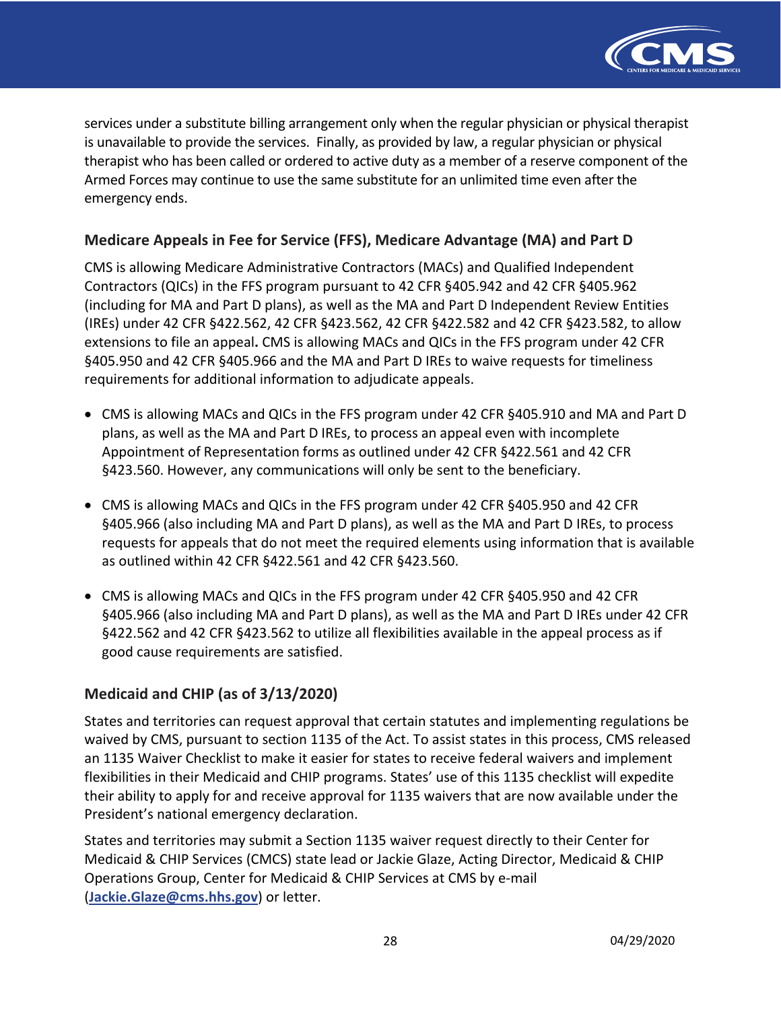

 Armed Forces may continue to use the same substitute for an unlimited time even after the services under a substitute billing arrangement only when the regular physician or physical therapist is unavailable to provide the services. Finally, as provided by law, a regular physician or physical therapist who has been called or ordered to active duty as a member of a reserve component of the emergency ends.

## **Medicare Appeals in Fee for Service (FFS), Medicare Advantage (MA) and Part D**

 CMS is allowing Medicare Administrative Contractors (MACs) and Qualified Independent Contractors (QICs) in the FFS program pursuant to 42 CFR §405.942 and 42 CFR §405.962 (including for MA and Part D plans), as well as the MA and Part D Independent Review Entities (IREs) under 42 CFR §422.562, 42 CFR §423.562, 42 CFR §422.582 and 42 CFR §423.582, to allow extensions to file an appeal**.** CMS is allowing MACs and QICs in the FFS program under 42 CFR §405.950 and 42 CFR §405.966 and the MA and Part D IREs to waive requests for timeliness requirements for additional information to adjudicate appeals.

- • CMS is allowing MACs and QICs in the FFS program under 42 CFR §405.910 and MA and Part D plans, as well as the MA and Part D IREs, to process an appeal even with incomplete Appointment of Representation forms as outlined under 42 CFR §422.561 and 42 CFR §423.560. However, any communications will only be sent to the beneficiary.
- • CMS is allowing MACs and QICs in the FFS program under 42 CFR §405.950 and 42 CFR §405.966 (also including MA and Part D plans), as well as the MA and Part D IREs, to process requests for appeals that do not meet the required elements using information that is available as outlined within 42 CFR §422.561 and 42 CFR §423.560.
- • CMS is allowing MACs and QICs in the FFS program under 42 CFR §405.950 and 42 CFR §405.966 (also including MA and Part D plans), as well as the MA and Part D IREs under 42 CFR §422.562 and 42 CFR §423.562 to utilize all flexibilities available in the appeal process as if good cause requirements are satisfied.

## **Medicaid and CHIP (as of 3/13/2020)**

 States and territories can request approval that certain statutes and implementing regulations be waived by CMS, pursuant to section 1135 of the Act. To assist states in this process, CMS released an 1135 Waiver Checklist to make it easier for states to receive federal waivers and implement flexibilities in their Medicaid and CHIP programs. States' use of this 1135 checklist will expedite their ability to apply for and receive approval for 1135 waivers that are now available under the President's national emergency declaration.

 States and territories may submit a Section 1135 waiver request directly to their Center for Medicaid & CHIP Services (CMCS) state lead or Jackie Glaze, Acting Director, Medicaid & CHIP Operations Group, Center for Medicaid & CHIP Services at CMS by e-mail (**[Jackie.Glaze@cms.hhs.gov](mailto:Jackie.Glaze@cms.hhs.gov)**) or letter.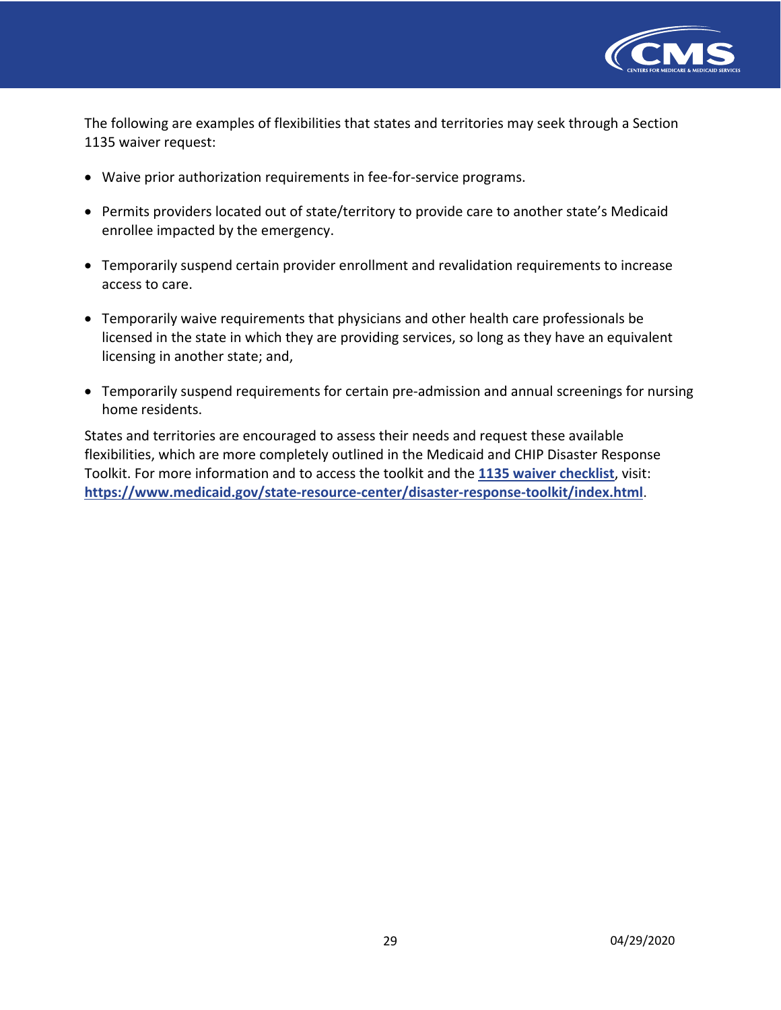

 The following are examples of flexibilities that states and territories may seek through a Section 1135 waiver request:

- Waive prior authorization requirements in fee-for-service programs.
- • Permits providers located out of state/territory to provide care to another state's Medicaid enrollee impacted by the emergency.
- • Temporarily suspend certain provider enrollment and revalidation requirements to increase access to care.
- • Temporarily waive requirements that physicians and other health care professionals be licensed in the state in which they are providing services, so long as they have an equivalent licensing in another state; and,
- • Temporarily suspend requirements for certain pre-admission and annual screenings for nursing home residents.

 States and territories are encouraged to assess their needs and request these available flexibilities, which are more completely outlined in the Medicaid and CHIP Disaster Response Toolkit. For more information and to access the toolkit and the **[1135 waiver checklist](https://www.medicaid.gov/state-resource-center/disaster-response-toolkit/cms-1135-waivers/index.html)**, visit: **<https://www.medicaid.gov/state-resource-center/disaster-response-toolkit/index.html>**.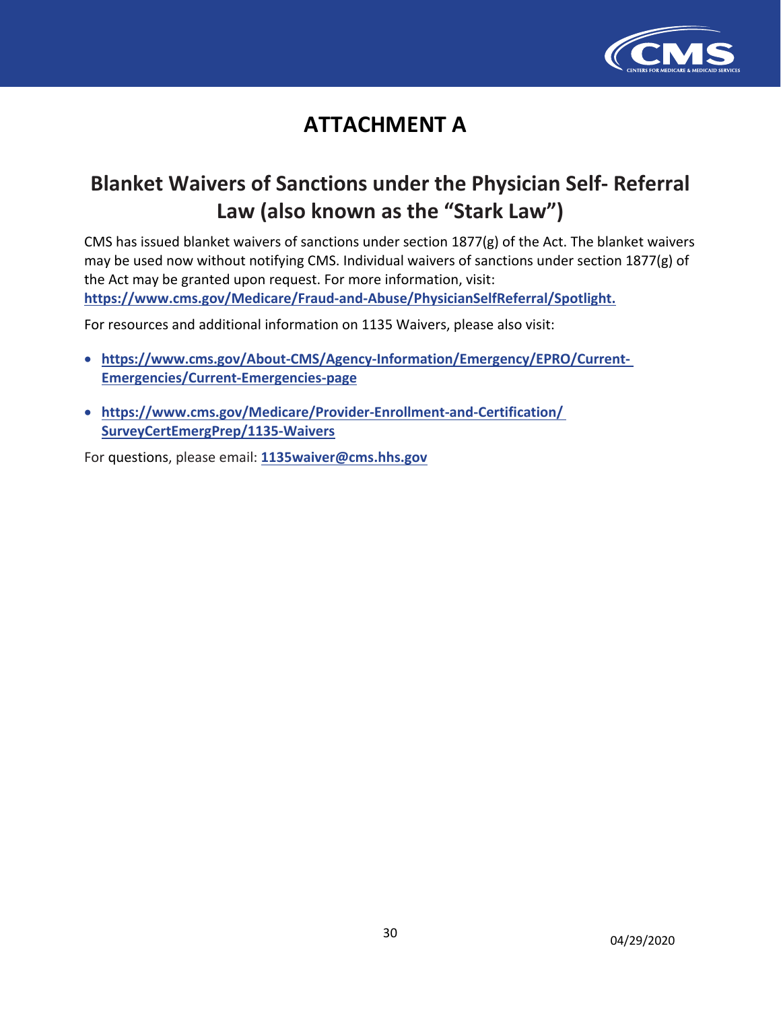

# **ATTACHMENT A**

# **Blanket Waivers of Sanctions under the Physician Self- Referral Law (also known as the "Stark Law")**

CMS has issued blanket waivers of sanctions under section 1877(g) of the Act. The blanket waivers may be used now without notifying CMS. Individual waivers of sanctions under section 1877(g) of the Act may be granted upon request. For more information, visit: **[https://www.cms.gov/Medicare/Fraud-and-Abuse/PhysicianSelfReferral/Spotlight.](https://www.cms.gov/Medicare/Fraud-and-Abuse/PhysicianSelfReferral/Spotlight)** 

For resources and additional information on 1135 Waivers, please also visit:

- **[https://www.cms.gov/About-CMS/Agency-Information/Emergency/EPRO/Current-](%E2%80%A2%09https://www.cms.gov/About-CMS/Agency-Information/Emergency/EPRO/Current-%20Emergencies/Current-Emergencies-page)Emergencies/Current-Emergencies-page**
- **[https://www.cms.gov/Medicare/Provider-Enrollment-and-Certification/](%E2%80%A2%09https://www.cms.gov/Medicare/Provider-Enrollment-and-Certification/%20SurveyCertEmergPrep/1135-Waivers) SurveyCertEmergPrep/1135-Waivers**

For questions, please email: **[1135waiver@cms.hhs.gov](mailto:1135waiver@cms.hhs.gov)**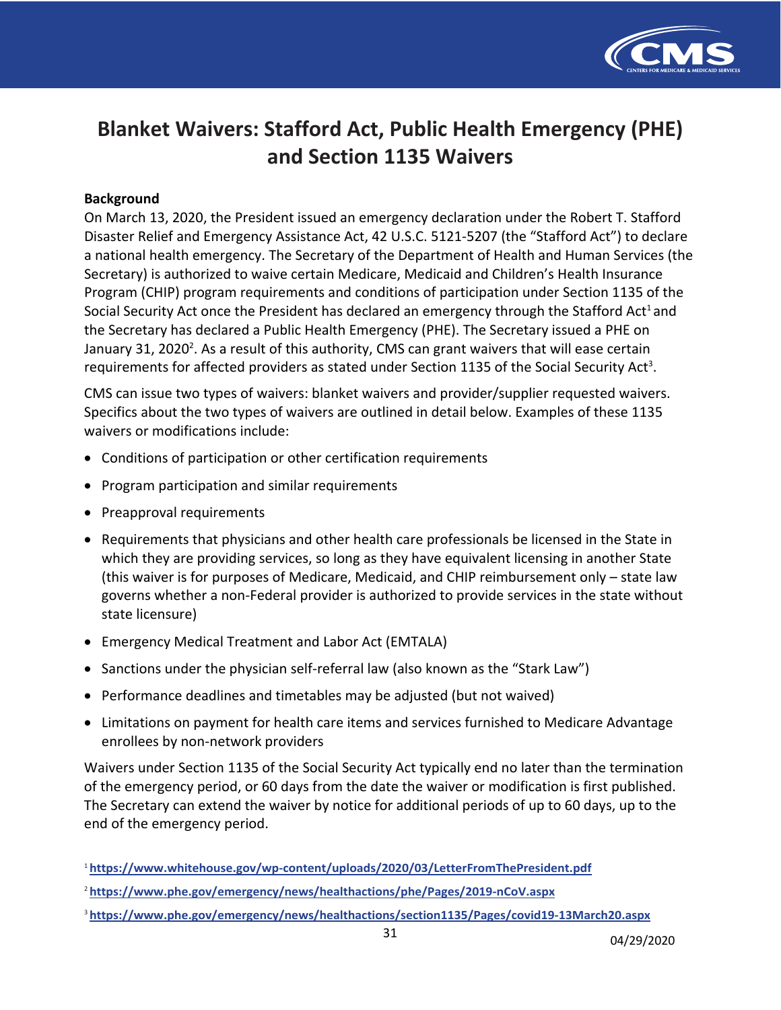

# **Blanket Waivers: Stafford Act, Public Health Emergency (PHE) and Section 1135 Waivers**

#### **Background**

 On March 13, 2020, the President issued an emergency declaration under the Robert T. Stafford Disaster Relief and Emergency Assistance Act, 42 U.S.C. 5121-5207 (the "Stafford Act") to declare a national health emergency. The Secretary of the Department of Health and Human Services (the Secretary) is authorized to waive certain Medicare, Medicaid and Children's Health Insurance Program (CHIP) program requirements and conditions of participation under Section 1135 of the Social Security Act once the President has declared an emergency through the Stafford Act<sup>1</sup> and the Secretary has declared a Public Health Emergency (PHE). The Secretary issued a PHE on January 31, 2020<sup>2</sup>. As a result of this authority, CMS can grant waivers that will ease certain requirements for affected providers as stated under Section 1135 of the Social Security Act<sup>3</sup>.

 CMS can issue two types of waivers: blanket waivers and provider/supplier requested waivers. Specifics about the two types of waivers are outlined in detail below. Examples of these 1135 waivers or modifications include:

- Conditions of participation or other certification requirements
- Program participation and similar requirements
- Preapproval requirements
- • Requirements that physicians and other health care professionals be licensed in the State in which they are providing services, so long as they have equivalent licensing in another State (this waiver is for purposes of Medicare, Medicaid, and CHIP reimbursement only – state law governs whether a non-Federal provider is authorized to provide services in the state without state licensure)
- Emergency Medical Treatment and Labor Act (EMTALA)
- Sanctions under the physician self-referral law (also known as the "Stark Law")
- Performance deadlines and timetables may be adjusted (but not waived)
- • Limitations on payment for health care items and services furnished to Medicare Advantage enrollees by non-network providers

 Waivers under Section 1135 of the Social Security Act typically end no later than the termination of the emergency period, or 60 days from the date the waiver or modification is first published. The Secretary can extend the waiver by notice for additional periods of up to 60 days, up to the end of the emergency period.

<sup>3</sup>**<https://www.phe.gov/emergency/news/healthactions/section1135/Pages/covid19-13March20.aspx>** 

<sup>1</sup>**<https://www.whitehouse.gov/wp-content/uploads/2020/03/LetterFromThePresident.pdf>**

<sup>2</sup>**<https://www.phe.gov/emergency/news/healthactions/phe/Pages/2019-nCoV.aspx>**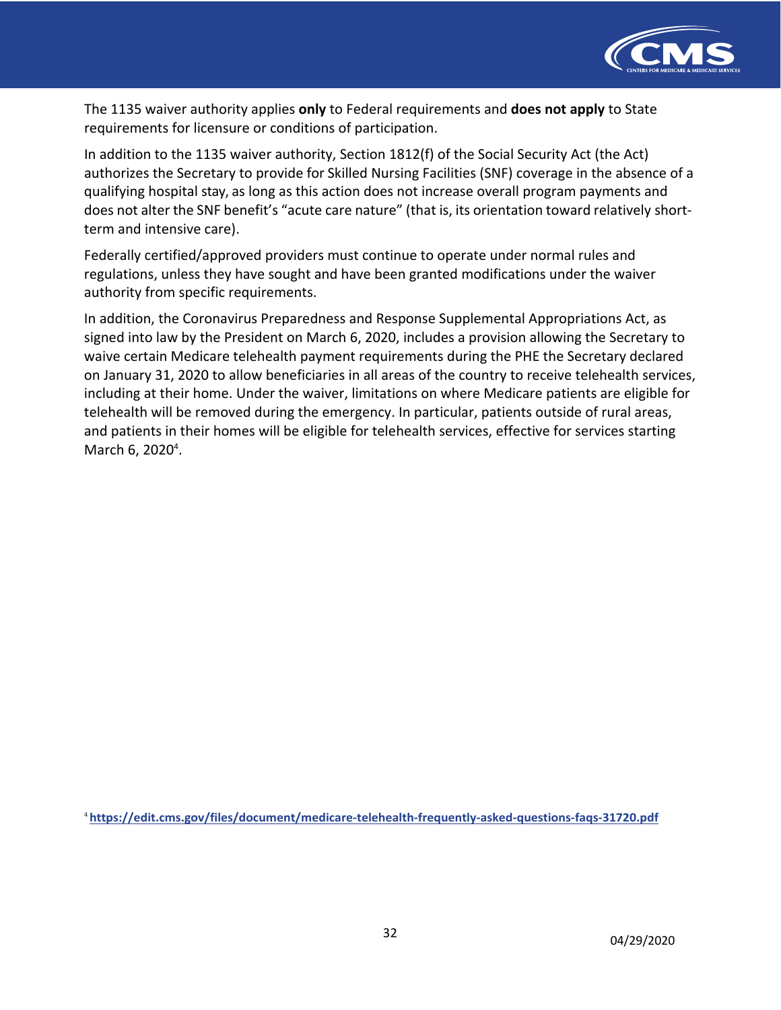

 The 1135 waiver authority applies **only** to Federal requirements and **does not apply** to State requirements for licensure or conditions of participation.

 In addition to the 1135 waiver authority, Section 1812(f) of the Social Security Act (the Act) authorizes the Secretary to provide for Skilled Nursing Facilities (SNF) coverage in the absence of a qualifying hospital stay, as long as this action does not increase overall program payments and does not alter the SNF benefit's "acute care nature" (that is, its orientation toward relatively short-term and intensive care).

 Federally certified/approved providers must continue to operate under normal rules and regulations, unless they have sought and have been granted modifications under the waiver authority from specific requirements.

 In addition, the Coronavirus Preparedness and Response Supplemental Appropriations Act, as signed into law by the President on March 6, 2020, includes a provision allowing the Secretary to waive certain Medicare telehealth payment requirements during the PHE the Secretary declared on January 31, 2020 to allow beneficiaries in all areas of the country to receive telehealth services, including at their home. Under the waiver, limitations on where Medicare patients are eligible for telehealth will be removed during the emergency. In particular, patients outside of rural areas, and patients in their homes will be eligible for telehealth services, effective for services starting March 6, 2020<sup>4</sup>.

<sup>4</sup>**<https://edit.cms.gov/files/document/medicare-telehealth-frequently-asked-questions-faqs-31720.pdf>**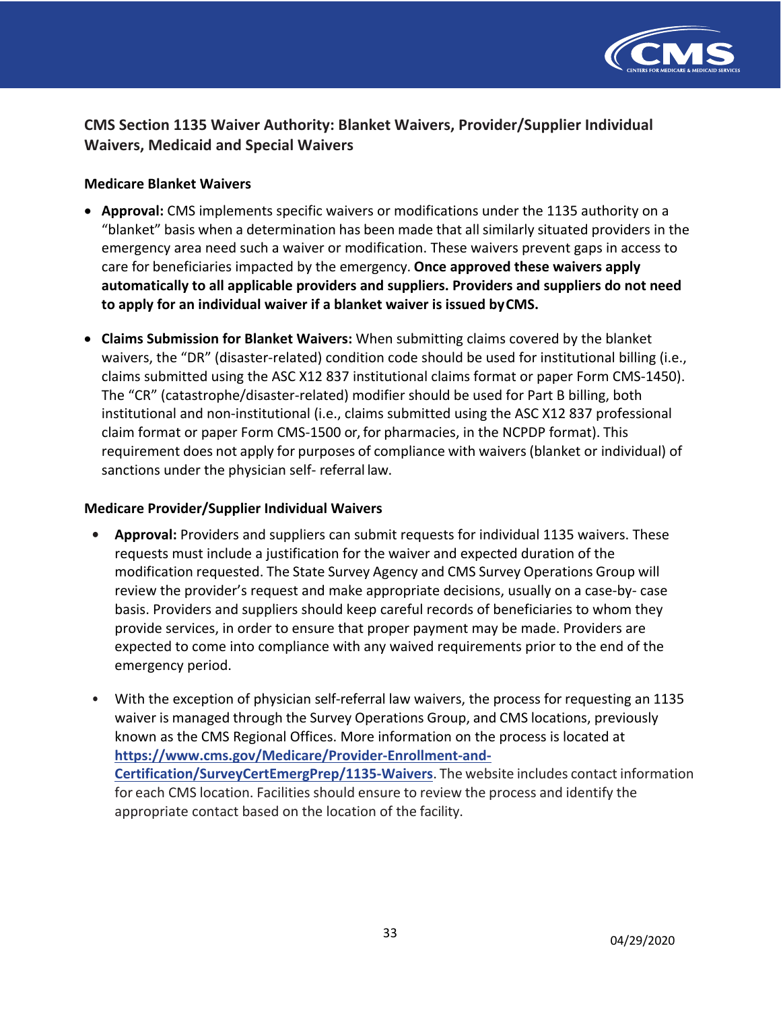

# **CMS Section 1135 Waiver Authority: Blanket Waivers, Provider/Supplier Individual Waivers, Medicaid and Special Waivers**

#### **Medicare Blanket Waivers**

- • **Approval:** CMS implements specific waivers or modifications under the 1135 authority on a "blanket" basis when a determination has been made that all similarly situated providers in the emergency area need such a waiver or modification. These waivers prevent gaps in access to care for beneficiaries impacted by the emergency. **Once approved these waivers apply to apply for an individual waiver if a blanket waiver is issued byCMS. automatically to all applicable providers and suppliers. Providers and suppliers do not need**
- **Claims Submission for Blanket Waivers:** When submitting claims covered by the blanket waivers, the "DR" (disaster-related) condition code should be used for institutional billing (i.e., claims submitted using the ASC X12 837 institutional claims format or paper Form CMS-1450). The "CR" (catastrophe/disaster-related) modifier should be used for Part B billing, both institutional and non-institutional (i.e., claims submitted using the ASC X12 837 professional claim format or paper Form CMS-1500 or, for pharmacies, in the NCPDP format). This requirement does not apply for purposes of compliance with waivers (blanket or individual) of sanctions under the physician self- referral law.

#### **Medicare Provider/Supplier Individual Waivers**

- **• Approval:** Providers and suppliers can submit requests for individual 1135 waivers. These requests must include a justification for the waiver and expected duration of the modification requested. The State Survey Agency and CMS Survey Operations Group will review the provider's request and make appropriate decisions, usually on a case-by- case basis. Providers and suppliers should keep careful records of beneficiaries to whom they provide services, in order to ensure that proper payment may be made. Providers are expected to come into compliance with any waived requirements prior to the end of the emergency period.
- • With the exception of physician self-referral law waivers, the process for requesting an 1135 waiver is managed through the Survey Operations Group, and CMS locations, previously known as the CMS Regional Offices. More information on the process is located at **Certification/SurveyCertEmergPrep/1135-Waivers**. The website includes contact information for each CMS location. Facilities should ensure to review the process and identify the appropriate contact based on the location of the facility. **[https://www.cms.gov/Medicare/Provider-Enrollment-and-](https://www.cms.gov/Medicare/Provider-Enrollment-and-Certification/SurveyCertEmergPrep/1135-Waivers)**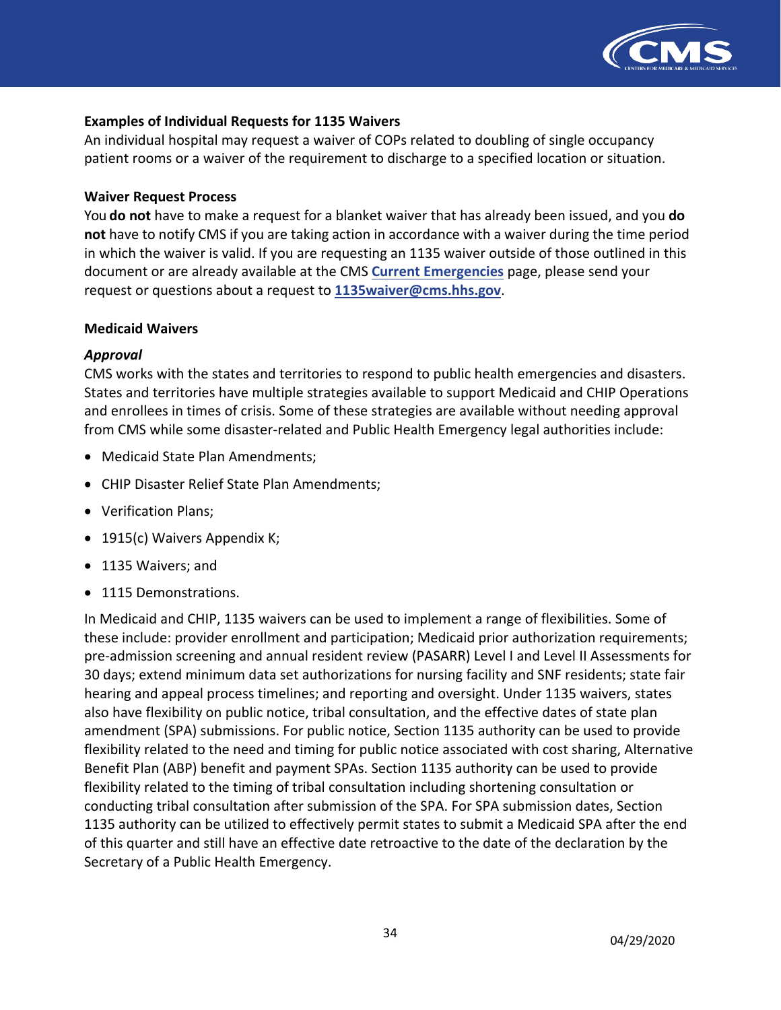

#### **Examples of Individual Requests for 1135 Waivers**

 An individual hospital may request a waiver of COPs related to doubling of single occupancy patient rooms or a waiver of the requirement to discharge to a specified location or situation.

#### **Waiver Request Process**

 You **do not** have to make a request for a blanket waiver that has already been issued, and you **do not** have to notify CMS if you are taking action in accordance with a waiver during the time period in which the waiver is valid. If you are requesting an 1135 waiver outside of those outlined in this document or are already available at the CMS **[Current Emergencies](https://www.cms.gov/About-CMS/Agency-Information/Emergency/EPRO/Current-Emergencies/Current-Emergencies-page)** page, please send your request or questions about a request to **[1135waiver@cms.hhs.gov](mailto:1135waiver@cms.hhs.gov)**.

#### **Medicaid Waivers**

#### *Approval*

 CMS works with the states and territories to respond to public health emergencies and disasters. States and territories have multiple strategies available to support Medicaid and CHIP Operations and enrollees in times of crisis. Some of these strategies are available without needing approval from CMS while some disaster-related and Public Health Emergency legal authorities include:

- Medicaid State Plan Amendments;
- CHIP Disaster Relief State Plan Amendments;
- Verification Plans;
- 1915(c) Waivers Appendix K;
- 1135 Waivers; and
- 1115 Demonstrations.

 In Medicaid and CHIP, 1135 waivers can be used to implement a range of flexibilities. Some of these include: provider enrollment and participation; Medicaid prior authorization requirements; pre-admission screening and annual resident review (PASARR) Level I and Level II Assessments for 30 days; extend minimum data set authorizations for nursing facility and SNF residents; state fair hearing and appeal process timelines; and reporting and oversight. Under 1135 waivers, states also have flexibility on public notice, tribal consultation, and the effective dates of state plan amendment (SPA) submissions. For public notice, Section 1135 authority can be used to provide flexibility related to the need and timing for public notice associated with cost sharing, Alternative Benefit Plan (ABP) benefit and payment SPAs. Section 1135 authority can be used to provide flexibility related to the timing of tribal consultation including shortening consultation or conducting tribal consultation after submission of the SPA. For SPA submission dates, Section 1135 authority can be utilized to effectively permit states to submit a Medicaid SPA after the end of this quarter and still have an effective date retroactive to the date of the declaration by the Secretary of a Public Health Emergency.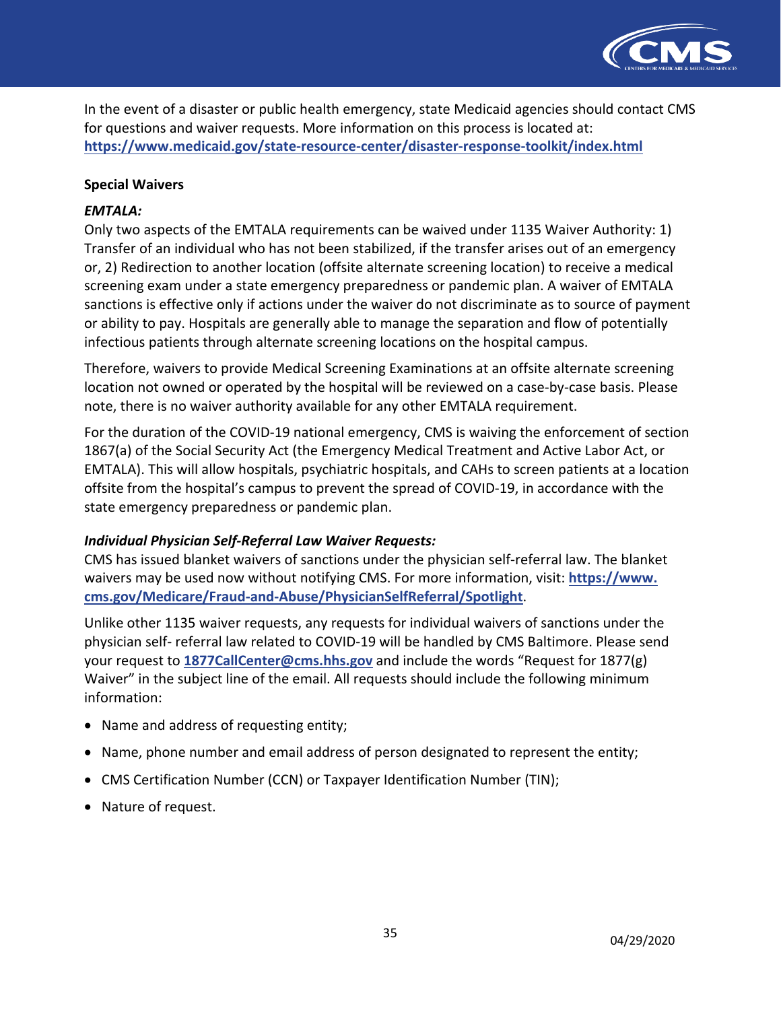

 In the event of a disaster or public health emergency, state Medicaid agencies should contact CMS for questions and waiver requests. More information on this process is located at: **<https://www.medicaid.gov/state-resource-center/disaster-response-toolkit/index.html>** 

#### **Special Waivers**

#### *EMTALA:*

 Only two aspects of the EMTALA requirements can be waived under 1135 Waiver Authority: 1) Transfer of an individual who has not been stabilized, if the transfer arises out of an emergency or, 2) Redirection to another location (offsite alternate screening location) to receive a medical screening exam under a state emergency preparedness or pandemic plan. A waiver of EMTALA sanctions is effective only if actions under the waiver do not discriminate as to source of payment or ability to pay. Hospitals are generally able to manage the separation and flow of potentially infectious patients through alternate screening locations on the hospital campus.

 Therefore, waivers to provide Medical Screening Examinations at an offsite alternate screening location not owned or operated by the hospital will be reviewed on a case-by-case basis. Please note, there is no waiver authority available for any other EMTALA requirement.

 For the duration of the COVID-19 national emergency, CMS is waiving the enforcement of section 1867(a) of the Social Security Act (the Emergency Medical Treatment and Active Labor Act, or EMTALA). This will allow hospitals, psychiatric hospitals, and CAHs to screen patients at a location offsite from the hospital's campus to prevent the spread of COVID-19, in accordance with the state emergency preparedness or pandemic plan.

#### *Individual Physician Self-Referral Law Waiver Requests:*

 CMS has issued blanket waivers of sanctions under the physician self-referral law. The blanket waivers may be used now without notifying CMS. For more information, visit: **<https://www>. [cms.gov/Medicare/Fraud-and-Abuse/PhysicianSelfReferral/Spotlight](https://cms.gov/Medicare/Fraud-and-Abuse/PhysicianSelfReferral/Spotlight)**.

 Unlike other 1135 waiver requests, any requests for individual waivers of sanctions under the physician self- referral law related to COVID-19 will be handled by CMS Baltimore. Please send your request to **[1877CallCenter@cms.hhs.gov](mailto:1877CallCenter@cms.hhs.gov)** and include the words "Request for 1877(g) Waiver" in the subject line of the email. All requests should include the following minimum information:

- Name and address of requesting entity;
- Name, phone number and email address of person designated to represent the entity;
- CMS Certification Number (CCN) or Taxpayer Identification Number (TIN);
- Nature of request.